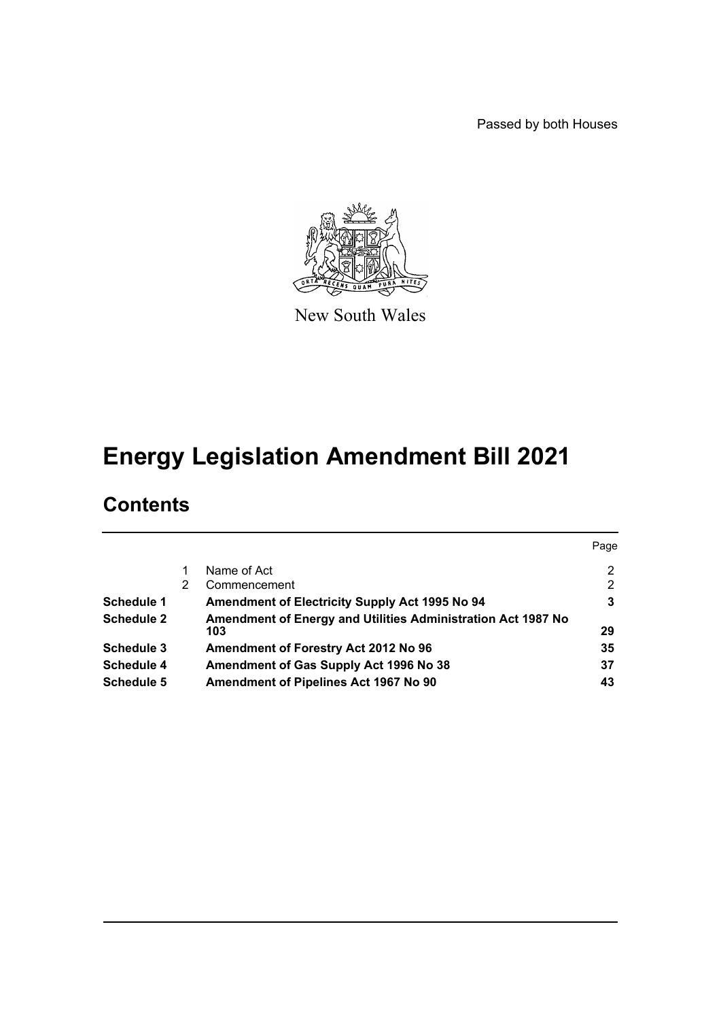Passed by both Houses



New South Wales

# **Energy Legislation Amendment Bill 2021**

# **Contents**

|                   |   |                                                                     | Page           |
|-------------------|---|---------------------------------------------------------------------|----------------|
|                   |   | Name of Act                                                         | $\overline{2}$ |
|                   | 2 | Commencement                                                        | $\overline{2}$ |
| <b>Schedule 1</b> |   | Amendment of Electricity Supply Act 1995 No 94                      | 3              |
| <b>Schedule 2</b> |   | Amendment of Energy and Utilities Administration Act 1987 No<br>103 | 29             |
| Schedule 3        |   | Amendment of Forestry Act 2012 No 96                                | 35             |
| <b>Schedule 4</b> |   | Amendment of Gas Supply Act 1996 No 38                              | 37             |
| <b>Schedule 5</b> |   | Amendment of Pipelines Act 1967 No 90                               | 43             |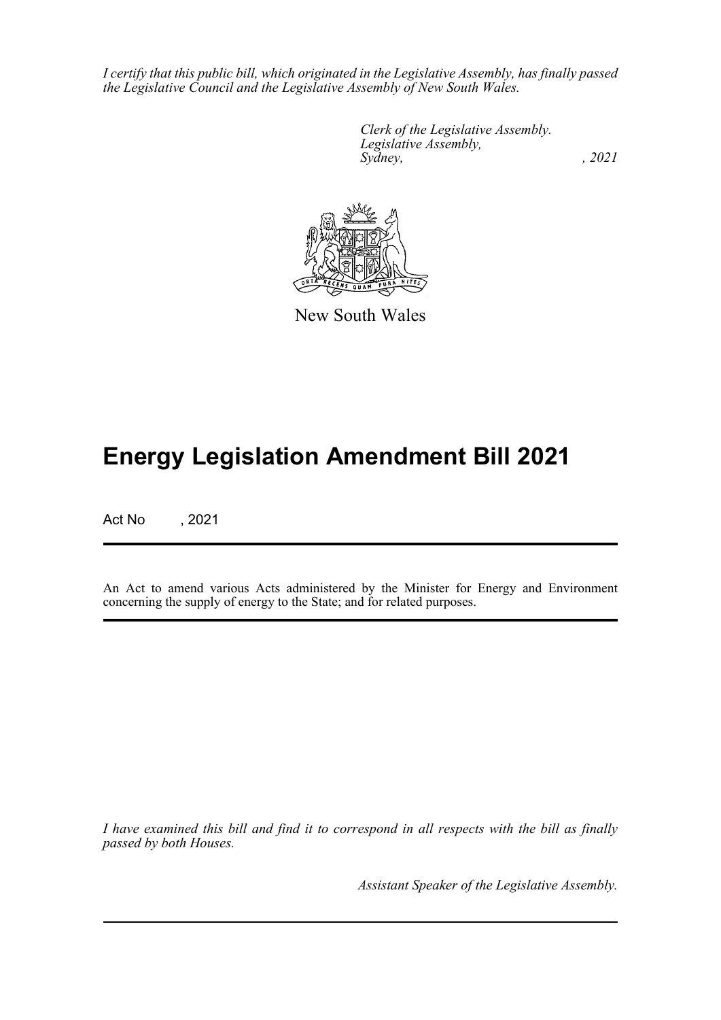*I certify that this public bill, which originated in the Legislative Assembly, has finally passed the Legislative Council and the Legislative Assembly of New South Wales.*

> *Clerk of the Legislative Assembly. Legislative Assembly, Sydney, , 2021*



New South Wales

# **Energy Legislation Amendment Bill 2021**

Act No , 2021

An Act to amend various Acts administered by the Minister for Energy and Environment concerning the supply of energy to the State; and for related purposes.

*I have examined this bill and find it to correspond in all respects with the bill as finally passed by both Houses.*

*Assistant Speaker of the Legislative Assembly.*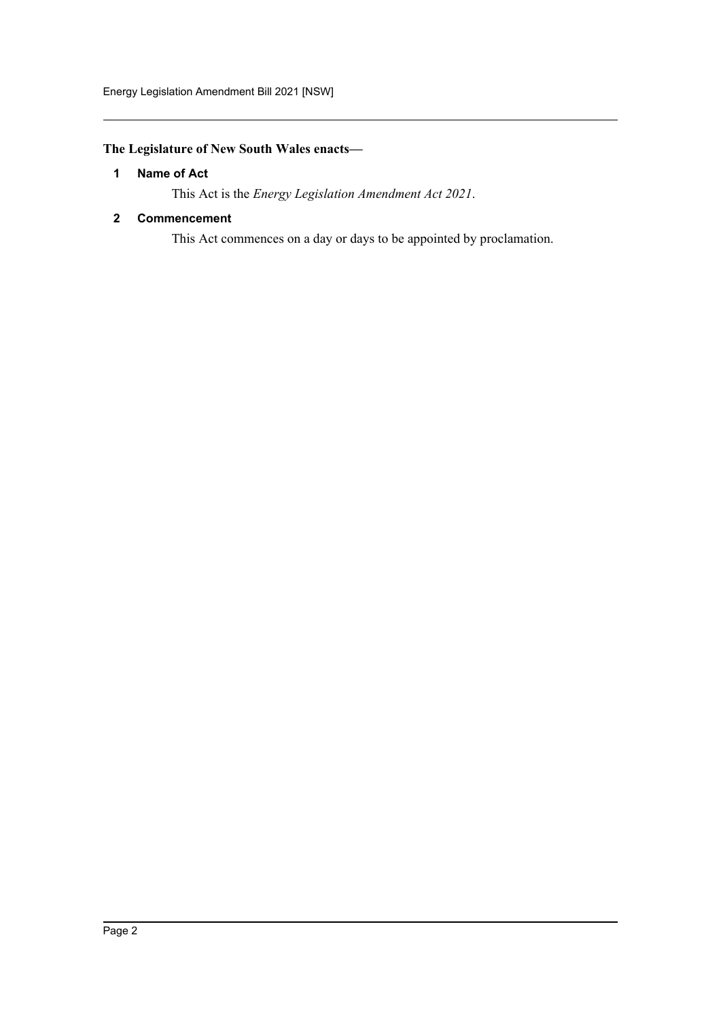# <span id="page-2-0"></span>**The Legislature of New South Wales enacts—**

#### **1 Name of Act**

This Act is the *Energy Legislation Amendment Act 2021*.

#### <span id="page-2-1"></span>**2 Commencement**

This Act commences on a day or days to be appointed by proclamation.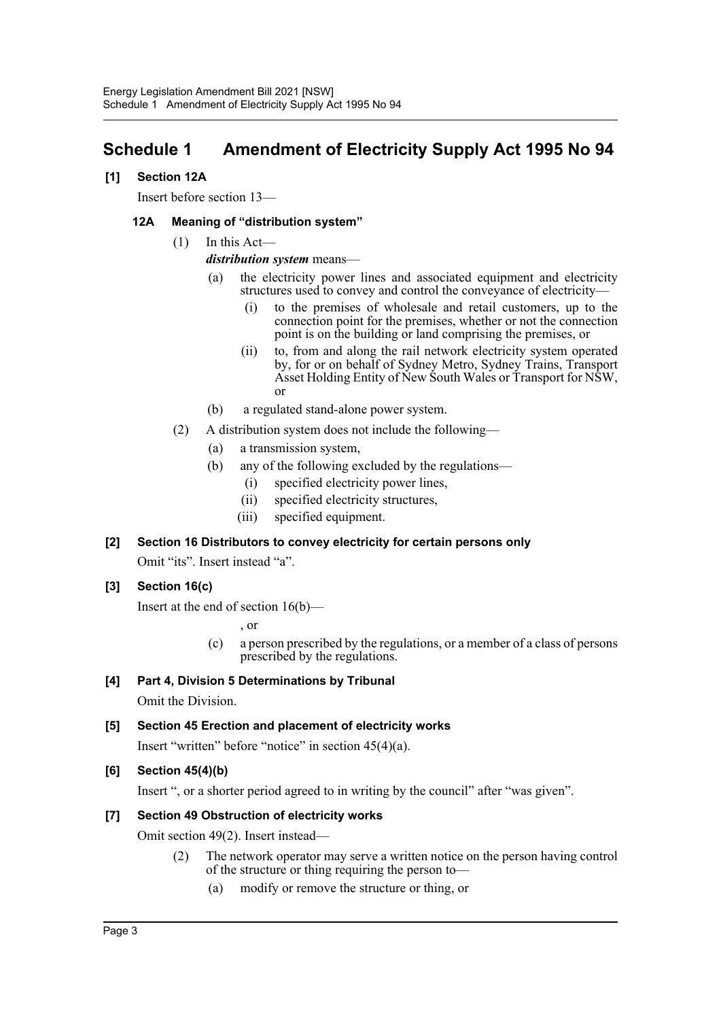# <span id="page-3-0"></span>**Schedule 1 Amendment of Electricity Supply Act 1995 No 94**

### **[1] Section 12A**

Insert before section 13—

#### **12A Meaning of "distribution system"**

(1) In this Act—

#### *distribution system* means—

- (a) the electricity power lines and associated equipment and electricity structures used to convey and control the conveyance of electricity—
	- (i) to the premises of wholesale and retail customers, up to the connection point for the premises, whether or not the connection point is on the building or land comprising the premises, or
	- (ii) to, from and along the rail network electricity system operated by, for or on behalf of Sydney Metro, Sydney Trains, Transport Asset Holding Entity of New South Wales or Transport for NSW, or
- (b) a regulated stand-alone power system.
- (2) A distribution system does not include the following—
	- (a) a transmission system,
	- (b) any of the following excluded by the regulations—
		- (i) specified electricity power lines,
		- (ii) specified electricity structures,
		- (iii) specified equipment.

# **[2] Section 16 Distributors to convey electricity for certain persons only**

Omit "its". Insert instead "a".

#### **[3] Section 16(c)**

Insert at the end of section 16(b)—

, or

(c) a person prescribed by the regulations, or a member of a class of persons prescribed by the regulations.

#### **[4] Part 4, Division 5 Determinations by Tribunal**

Omit the Division.

#### **[5] Section 45 Erection and placement of electricity works**

Insert "written" before "notice" in section 45(4)(a).

#### **[6] Section 45(4)(b)**

Insert ", or a shorter period agreed to in writing by the council" after "was given".

#### **[7] Section 49 Obstruction of electricity works**

Omit section 49(2). Insert instead—

- (2) The network operator may serve a written notice on the person having control of the structure or thing requiring the person to—
	- (a) modify or remove the structure or thing, or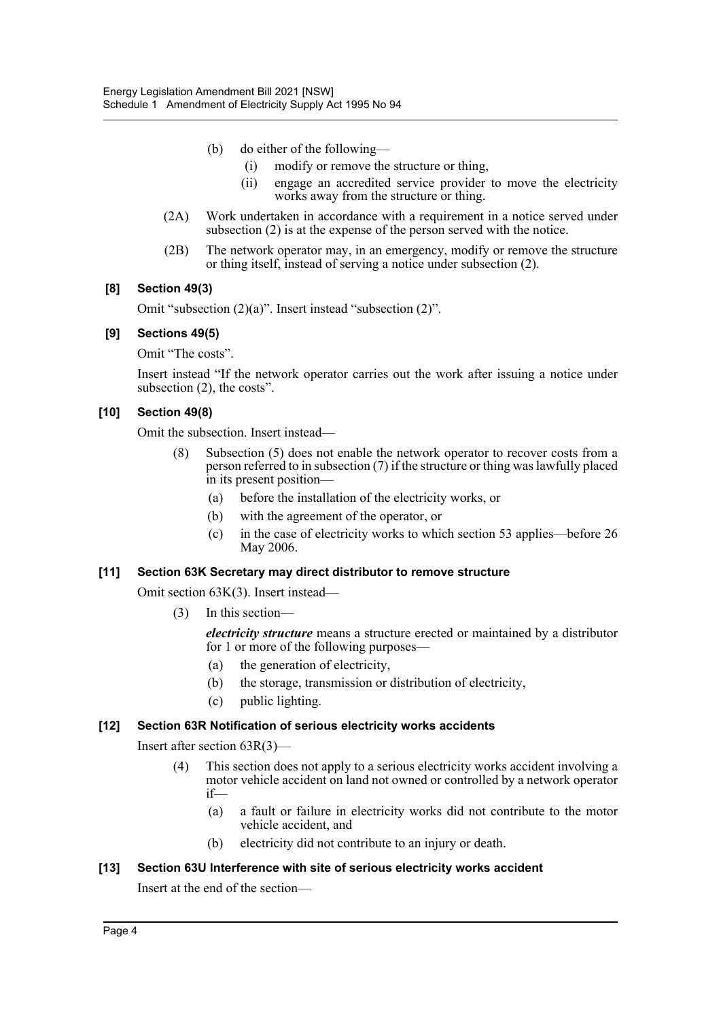- (b) do either of the following—
	- (i) modify or remove the structure or thing,
	- (ii) engage an accredited service provider to move the electricity works away from the structure or thing.
- (2A) Work undertaken in accordance with a requirement in a notice served under subsection (2) is at the expense of the person served with the notice.
- (2B) The network operator may, in an emergency, modify or remove the structure or thing itself, instead of serving a notice under subsection (2).

#### **[8] Section 49(3)**

Omit "subsection (2)(a)". Insert instead "subsection (2)".

#### **[9] Sections 49(5)**

Omit "The costs".

Insert instead "If the network operator carries out the work after issuing a notice under subsection (2), the costs".

#### **[10] Section 49(8)**

Omit the subsection. Insert instead—

- (8) Subsection (5) does not enable the network operator to recover costs from a person referred to in subsection (7) if the structure or thing was lawfully placed in its present position—
	- (a) before the installation of the electricity works, or
	- (b) with the agreement of the operator, or
	- (c) in the case of electricity works to which section 53 applies—before 26 May 2006.

#### **[11] Section 63K Secretary may direct distributor to remove structure**

Omit section 63K(3). Insert instead—

(3) In this section—

*electricity structure* means a structure erected or maintained by a distributor for 1 or more of the following purposes—

- (a) the generation of electricity,
- (b) the storage, transmission or distribution of electricity,
- (c) public lighting.

#### **[12] Section 63R Notification of serious electricity works accidents**

Insert after section 63R(3)—

- (4) This section does not apply to a serious electricity works accident involving a motor vehicle accident on land not owned or controlled by a network operator if—
	- (a) a fault or failure in electricity works did not contribute to the motor vehicle accident, and
	- (b) electricity did not contribute to an injury or death.

#### **[13] Section 63U Interference with site of serious electricity works accident**

Insert at the end of the section—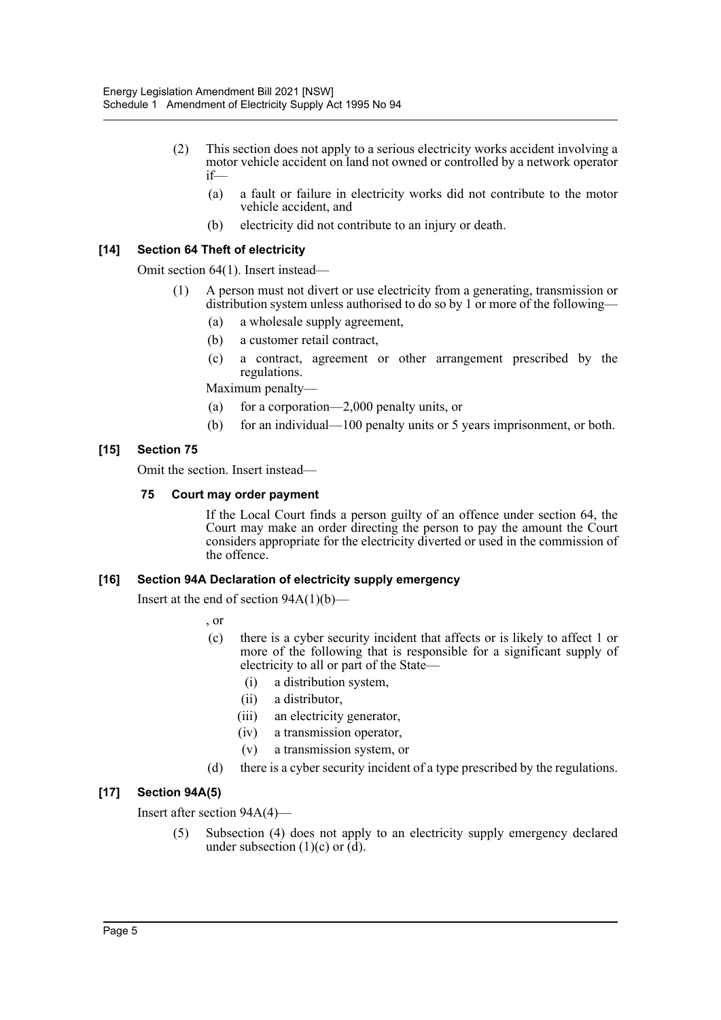- (2) This section does not apply to a serious electricity works accident involving a motor vehicle accident on land not owned or controlled by a network operator if—
	- (a) a fault or failure in electricity works did not contribute to the motor vehicle accident, and
	- (b) electricity did not contribute to an injury or death.

#### **[14] Section 64 Theft of electricity**

Omit section 64(1). Insert instead—

- (1) A person must not divert or use electricity from a generating, transmission or distribution system unless authorised to do so by 1 or more of the following—
	- (a) a wholesale supply agreement,
	- (b) a customer retail contract,
	- (c) a contract, agreement or other arrangement prescribed by the regulations.

Maximum penalty—

- (a) for a corporation—2,000 penalty units, or
- (b) for an individual—100 penalty units or 5 years imprisonment, or both.

#### **[15] Section 75**

Omit the section. Insert instead—

#### **75 Court may order payment**

If the Local Court finds a person guilty of an offence under section 64, the Court may make an order directing the person to pay the amount the Court considers appropriate for the electricity diverted or used in the commission of the offence.

#### **[16] Section 94A Declaration of electricity supply emergency**

Insert at the end of section  $94A(1)(b)$ —

, or

- (c) there is a cyber security incident that affects or is likely to affect 1 or more of the following that is responsible for a significant supply of electricity to all or part of the State—
	- (i) a distribution system,
	- (ii) a distributor,
	- (iii) an electricity generator,
	- (iv) a transmission operator,
	- (v) a transmission system, or
- (d) there is a cyber security incident of a type prescribed by the regulations.

#### **[17] Section 94A(5)**

Insert after section 94A(4)—

(5) Subsection (4) does not apply to an electricity supply emergency declared under subsection (1)(c) or  $(d)$ .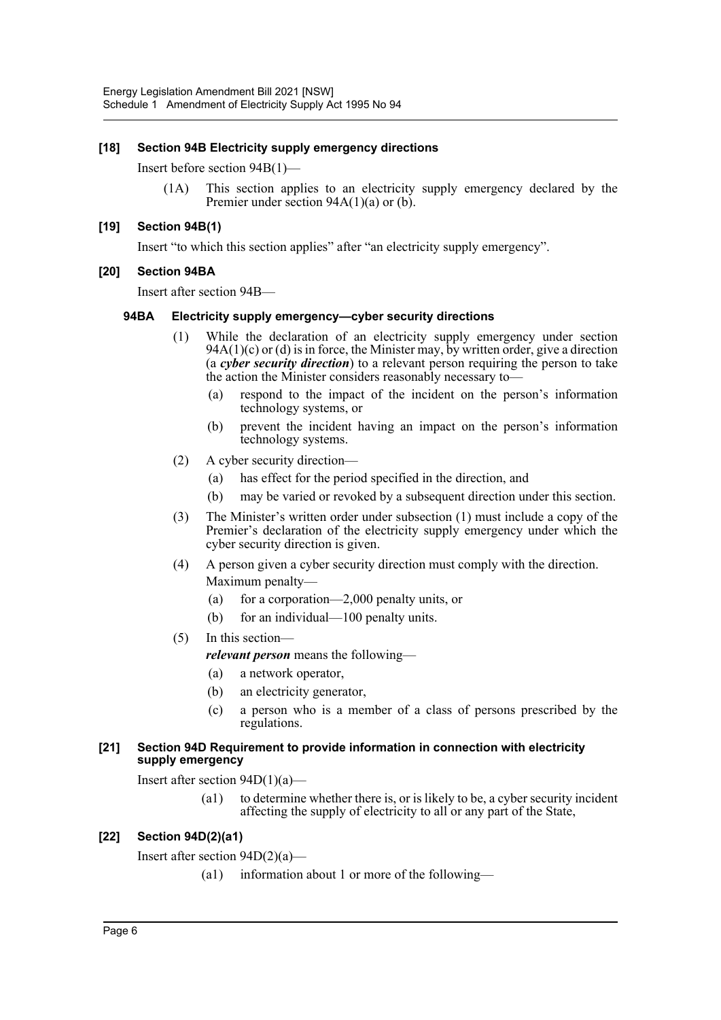#### **[18] Section 94B Electricity supply emergency directions**

Insert before section 94B(1)—

(1A) This section applies to an electricity supply emergency declared by the Premier under section 94A(1)(a) or (b).

#### **[19] Section 94B(1)**

Insert "to which this section applies" after "an electricity supply emergency".

#### **[20] Section 94BA**

Insert after section 94B—

#### **94BA Electricity supply emergency—cyber security directions**

- (1) While the declaration of an electricity supply emergency under section  $94A(1)(c)$  or (d) is in force, the Minister may, by written order, give a direction (a *cyber security direction*) to a relevant person requiring the person to take the action the Minister considers reasonably necessary to—
	- (a) respond to the impact of the incident on the person's information technology systems, or
	- (b) prevent the incident having an impact on the person's information technology systems.
- (2) A cyber security direction—
	- (a) has effect for the period specified in the direction, and
	- (b) may be varied or revoked by a subsequent direction under this section.
- (3) The Minister's written order under subsection (1) must include a copy of the Premier's declaration of the electricity supply emergency under which the cyber security direction is given.
- (4) A person given a cyber security direction must comply with the direction. Maximum penalty—
	- (a) for a corporation—2,000 penalty units, or
	- (b) for an individual—100 penalty units.
- (5) In this section
	- *relevant person* means the following—
	- (a) a network operator,
	- (b) an electricity generator,
	- (c) a person who is a member of a class of persons prescribed by the regulations.

#### **[21] Section 94D Requirement to provide information in connection with electricity supply emergency**

Insert after section  $94D(1)(a)$ —

(a1) to determine whether there is, or is likely to be, a cyber security incident affecting the supply of electricity to all or any part of the State,

#### **[22] Section 94D(2)(a1)**

Insert after section 94D(2)(a)—

(a1) information about 1 or more of the following—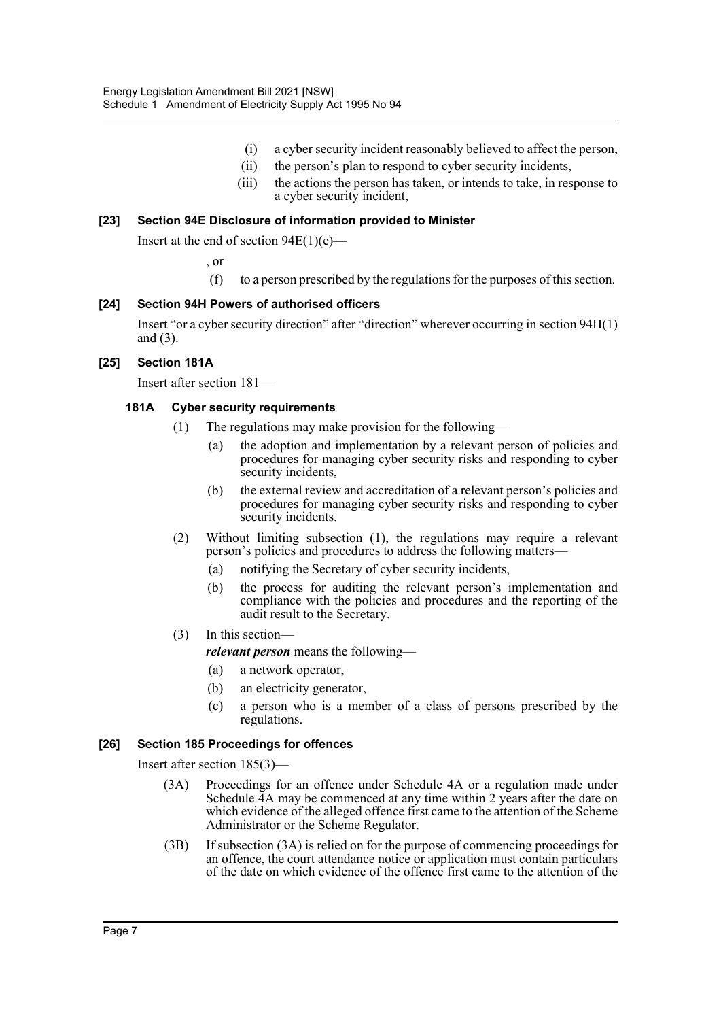- (i) a cyber security incident reasonably believed to affect the person,
- (ii) the person's plan to respond to cyber security incidents,
- (iii) the actions the person has taken, or intends to take, in response to a cyber security incident,

#### **[23] Section 94E Disclosure of information provided to Minister**

Insert at the end of section  $94E(1)(e)$ —

, or

(f) to a person prescribed by the regulations for the purposes of this section.

#### **[24] Section 94H Powers of authorised officers**

Insert "or a cyber security direction" after "direction" wherever occurring in section 94H(1) and (3).

#### **[25] Section 181A**

Insert after section 181—

#### **181A Cyber security requirements**

- (1) The regulations may make provision for the following—
	- (a) the adoption and implementation by a relevant person of policies and procedures for managing cyber security risks and responding to cyber security incidents,
	- (b) the external review and accreditation of a relevant person's policies and procedures for managing cyber security risks and responding to cyber security incidents.
- (2) Without limiting subsection (1), the regulations may require a relevant person's policies and procedures to address the following matters—
	- (a) notifying the Secretary of cyber security incidents,
	- (b) the process for auditing the relevant person's implementation and compliance with the policies and procedures and the reporting of the audit result to the Secretary.
- (3) In this section—

*relevant person* means the following—

- (a) a network operator,
- (b) an electricity generator,
- (c) a person who is a member of a class of persons prescribed by the regulations.

#### **[26] Section 185 Proceedings for offences**

Insert after section 185(3)—

- (3A) Proceedings for an offence under Schedule 4A or a regulation made under Schedule 4A may be commenced at any time within 2 years after the date on which evidence of the alleged offence first came to the attention of the Scheme Administrator or the Scheme Regulator.
- (3B) If subsection (3A) is relied on for the purpose of commencing proceedings for an offence, the court attendance notice or application must contain particulars of the date on which evidence of the offence first came to the attention of the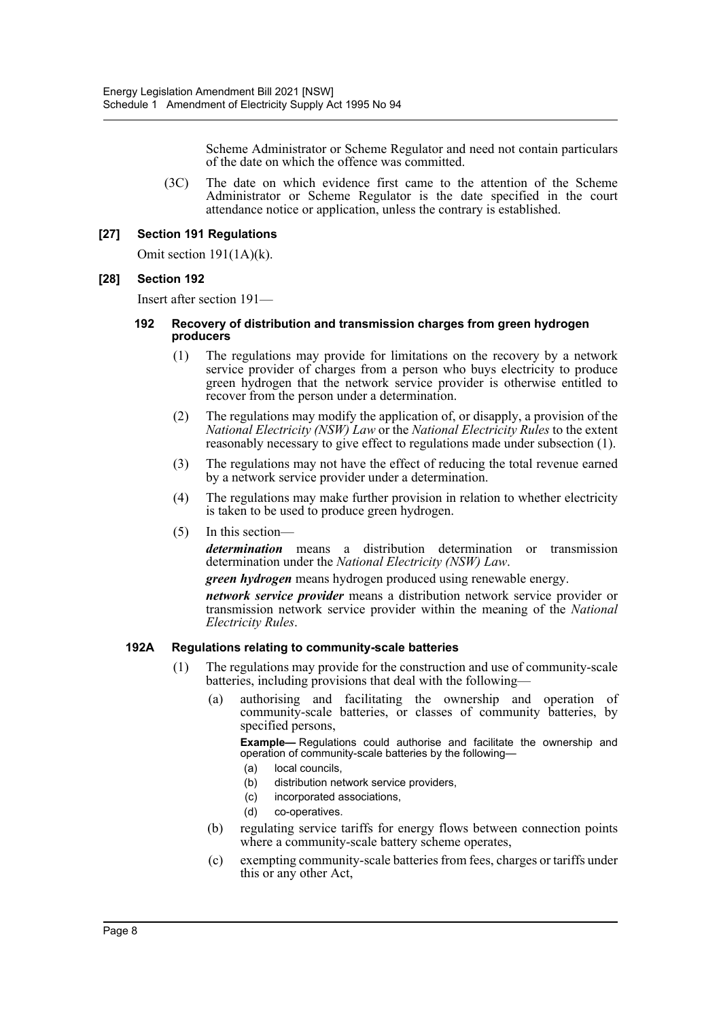Scheme Administrator or Scheme Regulator and need not contain particulars of the date on which the offence was committed.

(3C) The date on which evidence first came to the attention of the Scheme Administrator or Scheme Regulator is the date specified in the court attendance notice or application, unless the contrary is established.

#### **[27] Section 191 Regulations**

Omit section 191(1A)(k).

#### **[28] Section 192**

Insert after section 191—

#### **192 Recovery of distribution and transmission charges from green hydrogen producers**

- (1) The regulations may provide for limitations on the recovery by a network service provider of charges from a person who buys electricity to produce green hydrogen that the network service provider is otherwise entitled to recover from the person under a determination.
- (2) The regulations may modify the application of, or disapply, a provision of the *National Electricity (NSW) Law* or the *National Electricity Rules* to the extent reasonably necessary to give effect to regulations made under subsection (1).
- (3) The regulations may not have the effect of reducing the total revenue earned by a network service provider under a determination.
- (4) The regulations may make further provision in relation to whether electricity is taken to be used to produce green hydrogen.
- (5) In this section—

*determination* means a distribution determination or transmission determination under the *National Electricity (NSW) Law*.

*green hydrogen* means hydrogen produced using renewable energy.

*network service provider* means a distribution network service provider or transmission network service provider within the meaning of the *National Electricity Rules*.

#### **192A Regulations relating to community-scale batteries**

- (1) The regulations may provide for the construction and use of community-scale batteries, including provisions that deal with the following—
	- (a) authorising and facilitating the ownership and operation of community-scale batteries, or classes of community batteries, by specified persons,

**Example—** Regulations could authorise and facilitate the ownership and operation of community-scale batteries by the following—

- (a) local councils,
- (b) distribution network service providers,
- (c) incorporated associations,
- (d) co-operatives.
- (b) regulating service tariffs for energy flows between connection points where a community-scale battery scheme operates,
- (c) exempting community-scale batteries from fees, charges or tariffs under this or any other Act,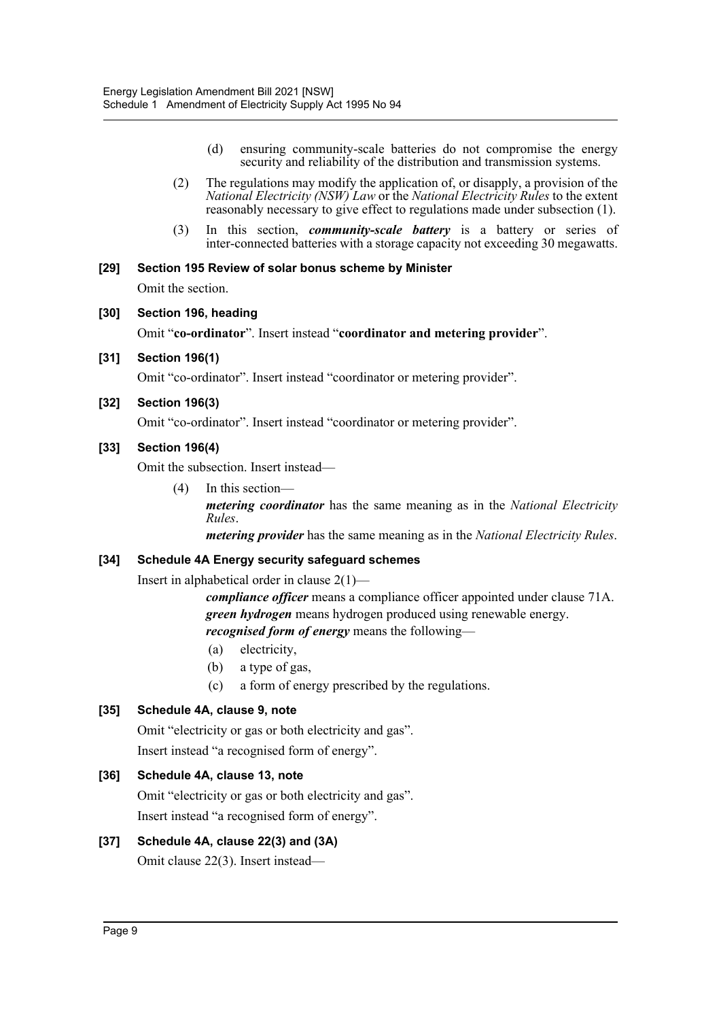- (d) ensuring community-scale batteries do not compromise the energy security and reliability of the distribution and transmission systems.
- (2) The regulations may modify the application of, or disapply, a provision of the *National Electricity (NSW) Law* or the *National Electricity Rules* to the extent reasonably necessary to give effect to regulations made under subsection (1).
- (3) In this section, *community-scale battery* is a battery or series of inter-connected batteries with a storage capacity not exceeding 30 megawatts.

# **[29] Section 195 Review of solar bonus scheme by Minister**

Omit the section.

#### **[30] Section 196, heading**

Omit "**co-ordinator**". Insert instead "**coordinator and metering provider**".

**[31] Section 196(1)**

Omit "co-ordinator". Insert instead "coordinator or metering provider".

#### **[32] Section 196(3)**

Omit "co-ordinator". Insert instead "coordinator or metering provider".

#### **[33] Section 196(4)**

Omit the subsection. Insert instead—

(4) In this section *metering coordinator* has the same meaning as in the *National Electricity Rules*.

*metering provider* has the same meaning as in the *National Electricity Rules*.

#### **[34] Schedule 4A Energy security safeguard schemes**

Insert in alphabetical order in clause 2(1)—

*compliance officer* means a compliance officer appointed under clause 71A. *green hydrogen* means hydrogen produced using renewable energy. *recognised form of energy* means the following—

- (a) electricity,
- (b) a type of gas,
- (c) a form of energy prescribed by the regulations.

#### **[35] Schedule 4A, clause 9, note**

Omit "electricity or gas or both electricity and gas". Insert instead "a recognised form of energy".

### **[36] Schedule 4A, clause 13, note**

Omit "electricity or gas or both electricity and gas". Insert instead "a recognised form of energy".

# **[37] Schedule 4A, clause 22(3) and (3A)**

Omit clause 22(3). Insert instead—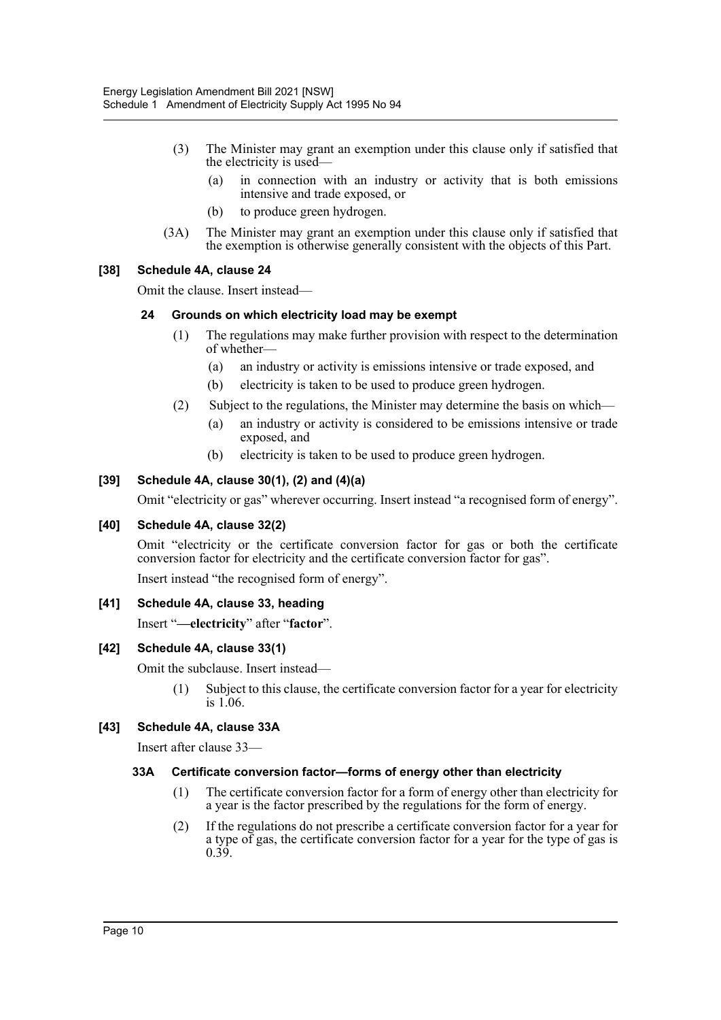- (3) The Minister may grant an exemption under this clause only if satisfied that the electricity is used—
	- (a) in connection with an industry or activity that is both emissions intensive and trade exposed, or
	- (b) to produce green hydrogen.
- (3A) The Minister may grant an exemption under this clause only if satisfied that the exemption is otherwise generally consistent with the objects of this Part.

#### **[38] Schedule 4A, clause 24**

Omit the clause. Insert instead—

#### **24 Grounds on which electricity load may be exempt**

- (1) The regulations may make further provision with respect to the determination of whether—
	- (a) an industry or activity is emissions intensive or trade exposed, and
	- (b) electricity is taken to be used to produce green hydrogen.
- (2) Subject to the regulations, the Minister may determine the basis on which—
	- (a) an industry or activity is considered to be emissions intensive or trade exposed, and
	- (b) electricity is taken to be used to produce green hydrogen.

#### **[39] Schedule 4A, clause 30(1), (2) and (4)(a)**

Omit "electricity or gas" wherever occurring. Insert instead "a recognised form of energy".

#### **[40] Schedule 4A, clause 32(2)**

Omit "electricity or the certificate conversion factor for gas or both the certificate conversion factor for electricity and the certificate conversion factor for gas".

Insert instead "the recognised form of energy".

#### **[41] Schedule 4A, clause 33, heading**

Insert "**—electricity**" after "**factor**".

#### **[42] Schedule 4A, clause 33(1)**

Omit the subclause. Insert instead—

(1) Subject to this clause, the certificate conversion factor for a year for electricity is 1.06.

#### **[43] Schedule 4A, clause 33A**

Insert after clause 33—

#### **33A Certificate conversion factor—forms of energy other than electricity**

- (1) The certificate conversion factor for a form of energy other than electricity for a year is the factor prescribed by the regulations for the form of energy.
- (2) If the regulations do not prescribe a certificate conversion factor for a year for a type of gas, the certificate conversion factor for a year for the type of gas is 0.39.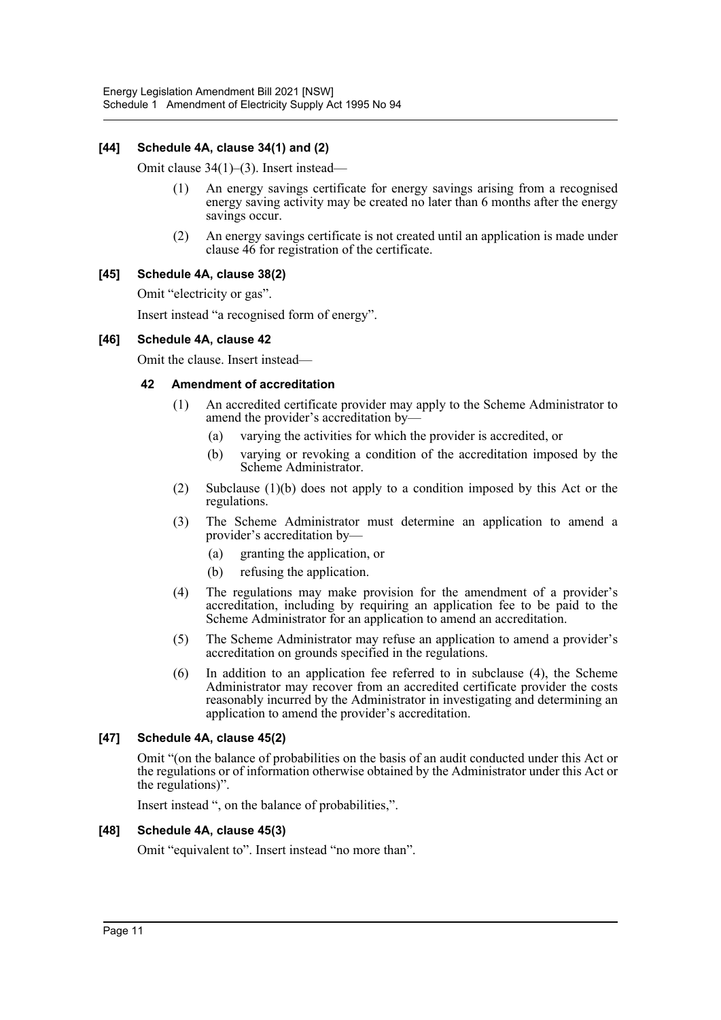#### **[44] Schedule 4A, clause 34(1) and (2)**

Omit clause 34(1)–(3). Insert instead—

- (1) An energy savings certificate for energy savings arising from a recognised energy saving activity may be created no later than 6 months after the energy savings occur.
- (2) An energy savings certificate is not created until an application is made under clause 46 for registration of the certificate.

#### **[45] Schedule 4A, clause 38(2)**

Omit "electricity or gas".

Insert instead "a recognised form of energy".

#### **[46] Schedule 4A, clause 42**

Omit the clause. Insert instead—

#### **42 Amendment of accreditation**

- (1) An accredited certificate provider may apply to the Scheme Administrator to amend the provider's accreditation by—
	- (a) varying the activities for which the provider is accredited, or
	- (b) varying or revoking a condition of the accreditation imposed by the Scheme Administrator.
- (2) Subclause (1)(b) does not apply to a condition imposed by this Act or the regulations.
- (3) The Scheme Administrator must determine an application to amend a provider's accreditation by—
	- (a) granting the application, or
	- (b) refusing the application.
- (4) The regulations may make provision for the amendment of a provider's accreditation, including by requiring an application fee to be paid to the Scheme Administrator for an application to amend an accreditation.
- (5) The Scheme Administrator may refuse an application to amend a provider's accreditation on grounds specified in the regulations.
- (6) In addition to an application fee referred to in subclause (4), the Scheme Administrator may recover from an accredited certificate provider the costs reasonably incurred by the Administrator in investigating and determining an application to amend the provider's accreditation.

#### **[47] Schedule 4A, clause 45(2)**

Omit "(on the balance of probabilities on the basis of an audit conducted under this Act or the regulations or of information otherwise obtained by the Administrator under this Act or the regulations)".

Insert instead ", on the balance of probabilities,".

#### **[48] Schedule 4A, clause 45(3)**

Omit "equivalent to". Insert instead "no more than".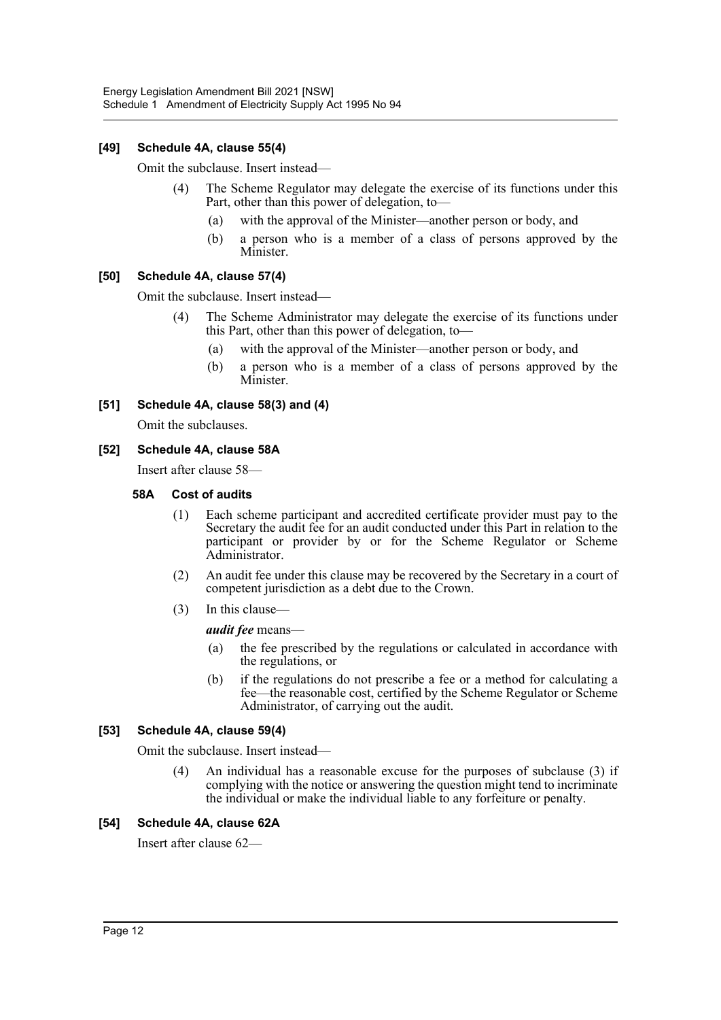#### **[49] Schedule 4A, clause 55(4)**

Omit the subclause. Insert instead—

- (4) The Scheme Regulator may delegate the exercise of its functions under this Part, other than this power of delegation, to—
	- (a) with the approval of the Minister—another person or body, and
	- (b) a person who is a member of a class of persons approved by the Minister.

#### **[50] Schedule 4A, clause 57(4)**

Omit the subclause. Insert instead—

- (4) The Scheme Administrator may delegate the exercise of its functions under this Part, other than this power of delegation, to—
	- (a) with the approval of the Minister—another person or body, and
	- (b) a person who is a member of a class of persons approved by the Minister.

#### **[51] Schedule 4A, clause 58(3) and (4)**

Omit the subclauses.

#### **[52] Schedule 4A, clause 58A**

Insert after clause 58—

#### **58A Cost of audits**

- (1) Each scheme participant and accredited certificate provider must pay to the Secretary the audit fee for an audit conducted under this Part in relation to the participant or provider by or for the Scheme Regulator or Scheme Administrator.
- (2) An audit fee under this clause may be recovered by the Secretary in a court of competent jurisdiction as a debt due to the Crown.
- (3) In this clause—

*audit fee* means—

- (a) the fee prescribed by the regulations or calculated in accordance with the regulations, or
- (b) if the regulations do not prescribe a fee or a method for calculating a fee—the reasonable cost, certified by the Scheme Regulator or Scheme Administrator, of carrying out the audit.

#### **[53] Schedule 4A, clause 59(4)**

Omit the subclause. Insert instead—

(4) An individual has a reasonable excuse for the purposes of subclause (3) if complying with the notice or answering the question might tend to incriminate the individual or make the individual liable to any forfeiture or penalty.

#### **[54] Schedule 4A, clause 62A**

Insert after clause 62—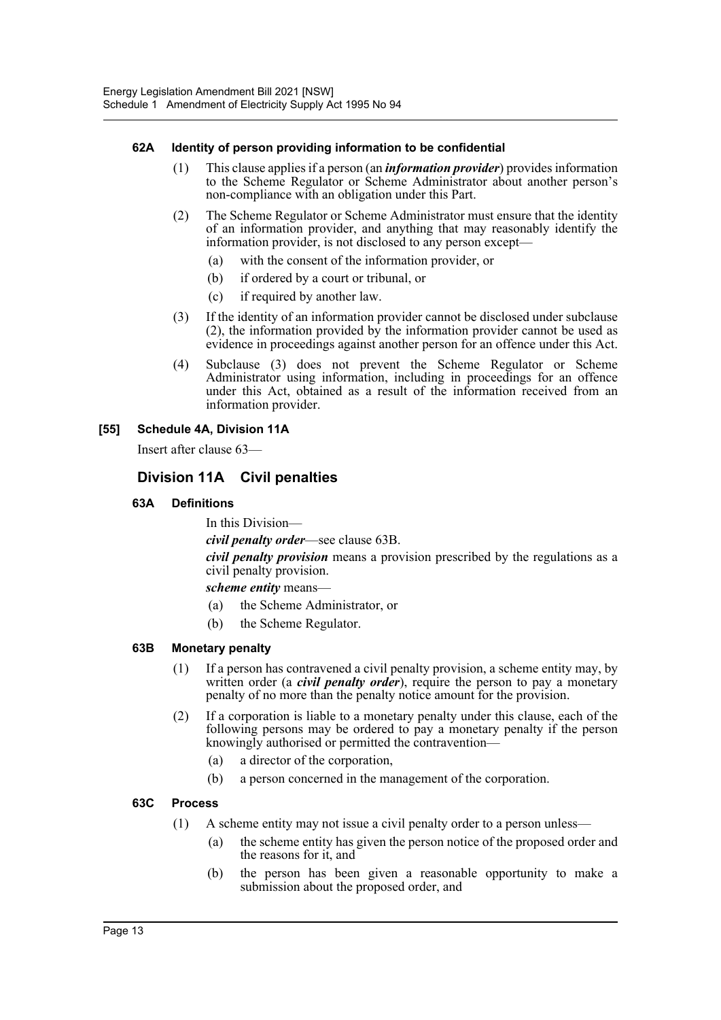#### **62A Identity of person providing information to be confidential**

- (1) This clause applies if a person (an *information provider*) provides information to the Scheme Regulator or Scheme Administrator about another person's non-compliance with an obligation under this Part.
- (2) The Scheme Regulator or Scheme Administrator must ensure that the identity of an information provider, and anything that may reasonably identify the information provider, is not disclosed to any person except—
	- (a) with the consent of the information provider, or
	- (b) if ordered by a court or tribunal, or
	- (c) if required by another law.
- (3) If the identity of an information provider cannot be disclosed under subclause (2), the information provided by the information provider cannot be used as evidence in proceedings against another person for an offence under this Act.
- (4) Subclause (3) does not prevent the Scheme Regulator or Scheme Administrator using information, including in proceedings for an offence under this Act, obtained as a result of the information received from an information provider.

#### **[55] Schedule 4A, Division 11A**

Insert after clause 63—

# **Division 11A Civil penalties**

#### **63A Definitions**

In this Division—

*civil penalty order*—see clause 63B.

*civil penalty provision* means a provision prescribed by the regulations as a civil penalty provision.

*scheme entity* means—

- (a) the Scheme Administrator, or
- (b) the Scheme Regulator.

#### **63B Monetary penalty**

- (1) If a person has contravened a civil penalty provision, a scheme entity may, by written order (a *civil penalty order*), require the person to pay a monetary penalty of no more than the penalty notice amount for the provision.
- (2) If a corporation is liable to a monetary penalty under this clause, each of the following persons may be ordered to pay a monetary penalty if the person knowingly authorised or permitted the contravention—
	- (a) a director of the corporation,
	- (b) a person concerned in the management of the corporation.

#### **63C Process**

- (1) A scheme entity may not issue a civil penalty order to a person unless—
	- (a) the scheme entity has given the person notice of the proposed order and the reasons for it, and
	- (b) the person has been given a reasonable opportunity to make a submission about the proposed order, and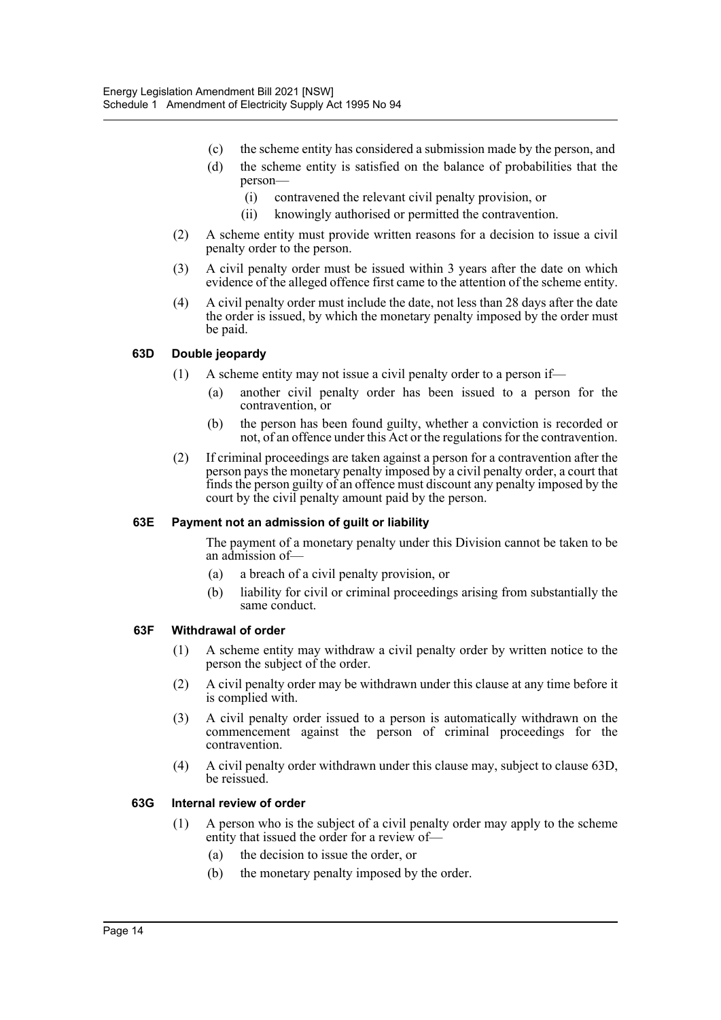- (c) the scheme entity has considered a submission made by the person, and
- (d) the scheme entity is satisfied on the balance of probabilities that the person—
	- (i) contravened the relevant civil penalty provision, or
	- (ii) knowingly authorised or permitted the contravention.
- (2) A scheme entity must provide written reasons for a decision to issue a civil penalty order to the person.
- (3) A civil penalty order must be issued within 3 years after the date on which evidence of the alleged offence first came to the attention of the scheme entity.
- (4) A civil penalty order must include the date, not less than 28 days after the date the order is issued, by which the monetary penalty imposed by the order must be paid.

#### **63D Double jeopardy**

- (1) A scheme entity may not issue a civil penalty order to a person if—
	- (a) another civil penalty order has been issued to a person for the contravention, or
	- (b) the person has been found guilty, whether a conviction is recorded or not, of an offence under this Act or the regulations for the contravention.
- (2) If criminal proceedings are taken against a person for a contravention after the person pays the monetary penalty imposed by a civil penalty order, a court that finds the person guilty of an offence must discount any penalty imposed by the court by the civil penalty amount paid by the person.

#### **63E Payment not an admission of guilt or liability**

The payment of a monetary penalty under this Division cannot be taken to be an admission of—

- (a) a breach of a civil penalty provision, or
- (b) liability for civil or criminal proceedings arising from substantially the same conduct.

#### **63F Withdrawal of order**

- (1) A scheme entity may withdraw a civil penalty order by written notice to the person the subject of the order.
- (2) A civil penalty order may be withdrawn under this clause at any time before it is complied with.
- (3) A civil penalty order issued to a person is automatically withdrawn on the commencement against the person of criminal proceedings for the contravention.
- (4) A civil penalty order withdrawn under this clause may, subject to clause 63D, be reissued.

#### **63G Internal review of order**

- (1) A person who is the subject of a civil penalty order may apply to the scheme entity that issued the order for a review of—
	- (a) the decision to issue the order, or
	- (b) the monetary penalty imposed by the order.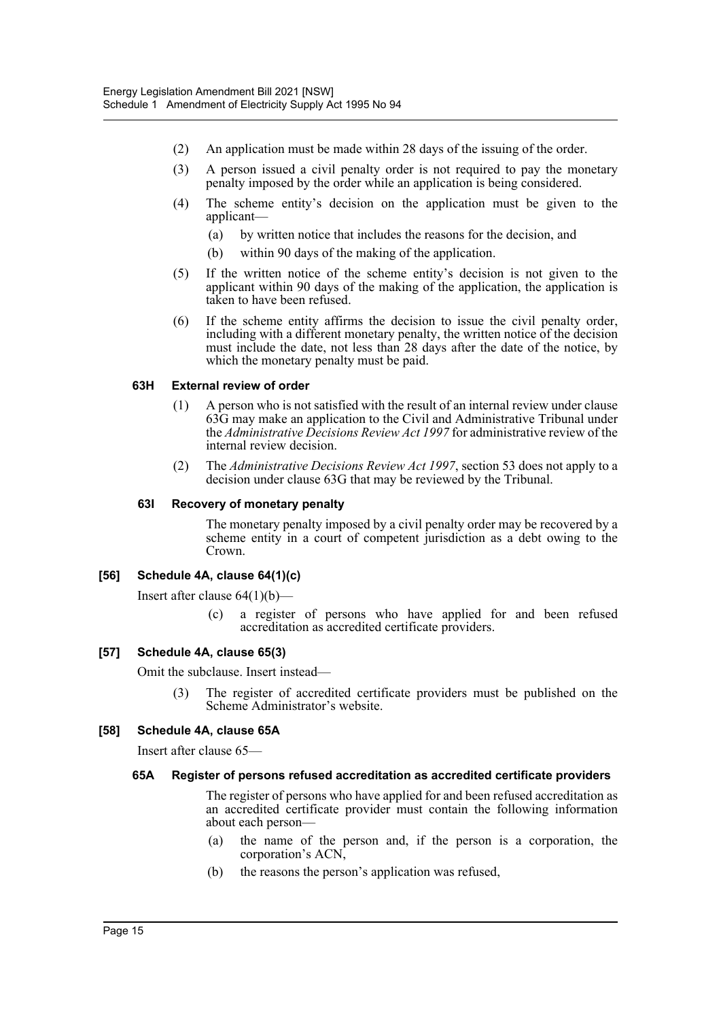- (2) An application must be made within 28 days of the issuing of the order.
- (3) A person issued a civil penalty order is not required to pay the monetary penalty imposed by the order while an application is being considered.
- (4) The scheme entity's decision on the application must be given to the applicant—
	- (a) by written notice that includes the reasons for the decision, and
	- (b) within 90 days of the making of the application.
- (5) If the written notice of the scheme entity's decision is not given to the applicant within 90 days of the making of the application, the application is taken to have been refused.
- (6) If the scheme entity affirms the decision to issue the civil penalty order, including with a different monetary penalty, the written notice of the decision must include the date, not less than 28 days after the date of the notice, by which the monetary penalty must be paid.

#### **63H External review of order**

- (1) A person who is not satisfied with the result of an internal review under clause 63G may make an application to the Civil and Administrative Tribunal under the *Administrative Decisions Review Act 1997* for administrative review of the internal review decision.
- (2) The *Administrative Decisions Review Act 1997*, section 53 does not apply to a decision under clause 63G that may be reviewed by the Tribunal.

#### **63I Recovery of monetary penalty**

The monetary penalty imposed by a civil penalty order may be recovered by a scheme entity in a court of competent jurisdiction as a debt owing to the Crown.

#### **[56] Schedule 4A, clause 64(1)(c)**

Insert after clause 64(1)(b)—

(c) a register of persons who have applied for and been refused accreditation as accredited certificate providers.

#### **[57] Schedule 4A, clause 65(3)**

Omit the subclause. Insert instead—

(3) The register of accredited certificate providers must be published on the Scheme Administrator's website.

#### **[58] Schedule 4A, clause 65A**

Insert after clause 65—

#### **65A Register of persons refused accreditation as accredited certificate providers**

The register of persons who have applied for and been refused accreditation as an accredited certificate provider must contain the following information about each person—

- (a) the name of the person and, if the person is a corporation, the corporation's ACN,
- (b) the reasons the person's application was refused,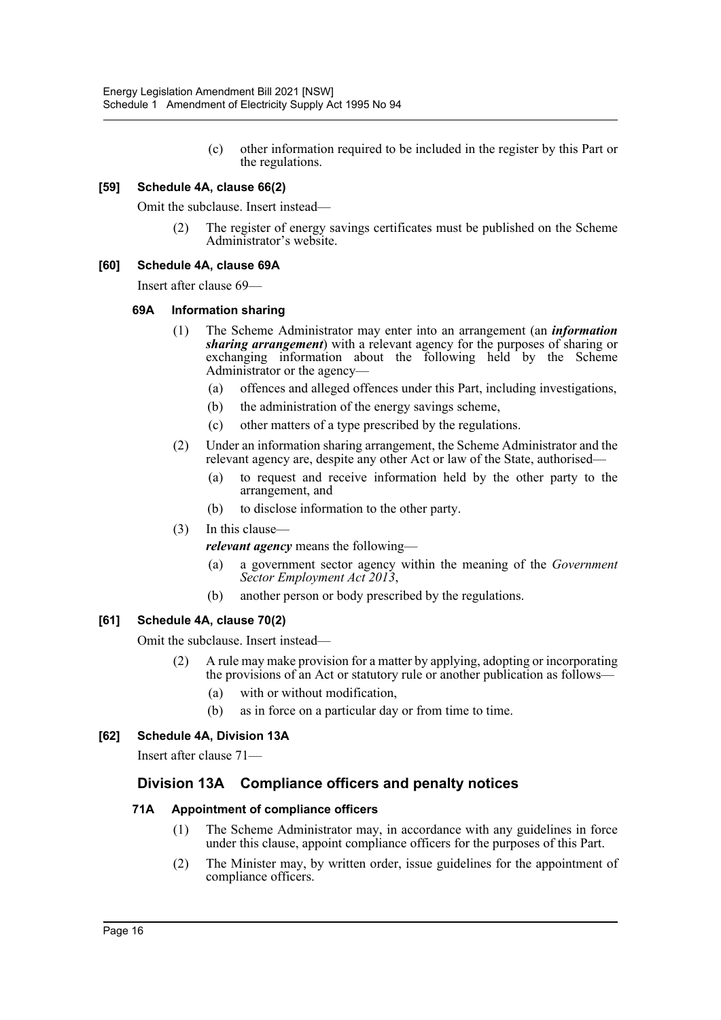(c) other information required to be included in the register by this Part or the regulations.

#### **[59] Schedule 4A, clause 66(2)**

Omit the subclause. Insert instead—

The register of energy savings certificates must be published on the Scheme Administrator's website.

#### **[60] Schedule 4A, clause 69A**

Insert after clause 69—

#### **69A Information sharing**

- (1) The Scheme Administrator may enter into an arrangement (an *information sharing arrangement*) with a relevant agency for the purposes of sharing or exchanging information about the following held by the Scheme Administrator or the agency—
	- (a) offences and alleged offences under this Part, including investigations,
	- (b) the administration of the energy savings scheme,
	- (c) other matters of a type prescribed by the regulations.
- (2) Under an information sharing arrangement, the Scheme Administrator and the relevant agency are, despite any other Act or law of the State, authorised—
	- (a) to request and receive information held by the other party to the arrangement, and
	- (b) to disclose information to the other party.
- (3) In this clause—

*relevant agency* means the following—

- (a) a government sector agency within the meaning of the *Government Sector Employment Act 2013*,
- (b) another person or body prescribed by the regulations.

#### **[61] Schedule 4A, clause 70(2)**

Omit the subclause. Insert instead—

- (2) A rule may make provision for a matter by applying, adopting or incorporating the provisions of an Act or statutory rule or another publication as follows—
	- (a) with or without modification,
	- (b) as in force on a particular day or from time to time.

#### **[62] Schedule 4A, Division 13A**

Insert after clause 71—

#### **Division 13A Compliance officers and penalty notices**

#### **71A Appointment of compliance officers**

- (1) The Scheme Administrator may, in accordance with any guidelines in force under this clause, appoint compliance officers for the purposes of this Part.
- (2) The Minister may, by written order, issue guidelines for the appointment of compliance officers.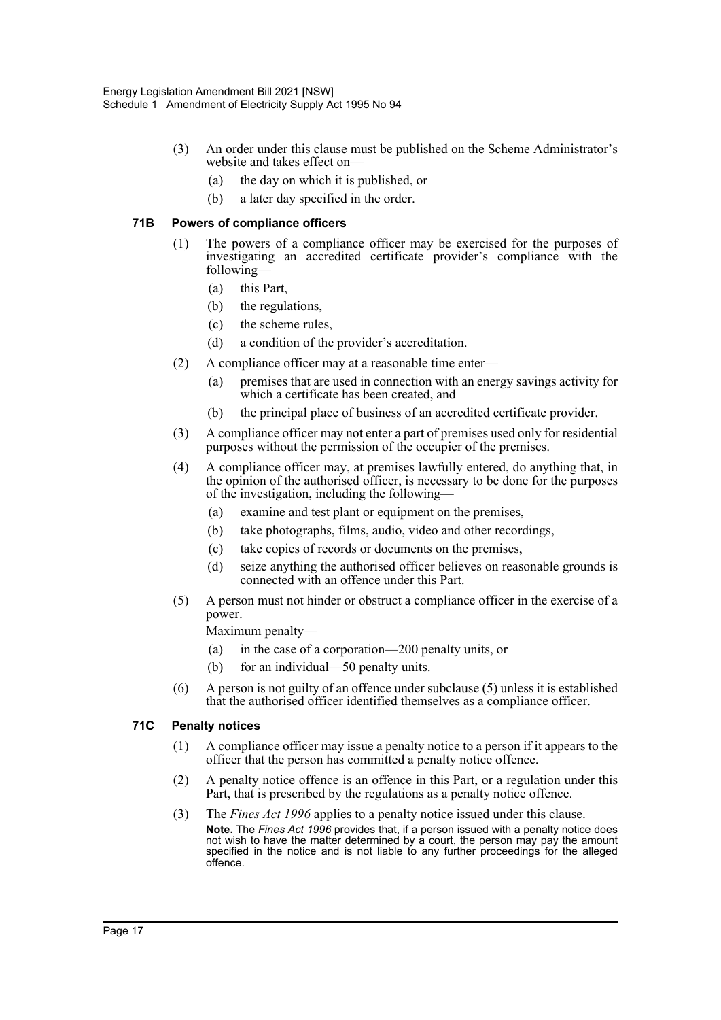- (3) An order under this clause must be published on the Scheme Administrator's website and takes effect on—
	- (a) the day on which it is published, or
	- (b) a later day specified in the order.

#### **71B Powers of compliance officers**

- (1) The powers of a compliance officer may be exercised for the purposes of investigating an accredited certificate provider's compliance with the following—
	- (a) this Part,
	- (b) the regulations,
	- (c) the scheme rules,
	- (d) a condition of the provider's accreditation.
- (2) A compliance officer may at a reasonable time enter—
	- (a) premises that are used in connection with an energy savings activity for which a certificate has been created, and
	- (b) the principal place of business of an accredited certificate provider.
- (3) A compliance officer may not enter a part of premises used only for residential purposes without the permission of the occupier of the premises.
- (4) A compliance officer may, at premises lawfully entered, do anything that, in the opinion of the authorised officer, is necessary to be done for the purposes of the investigation, including the following—
	- (a) examine and test plant or equipment on the premises,
	- (b) take photographs, films, audio, video and other recordings,
	- (c) take copies of records or documents on the premises,
	- (d) seize anything the authorised officer believes on reasonable grounds is connected with an offence under this Part.
- (5) A person must not hinder or obstruct a compliance officer in the exercise of a power.

Maximum penalty—

- (a) in the case of a corporation—200 penalty units, or
- (b) for an individual—50 penalty units.
- (6) A person is not guilty of an offence under subclause (5) unless it is established that the authorised officer identified themselves as a compliance officer.

#### **71C Penalty notices**

- (1) A compliance officer may issue a penalty notice to a person if it appears to the officer that the person has committed a penalty notice offence.
- (2) A penalty notice offence is an offence in this Part, or a regulation under this Part, that is prescribed by the regulations as a penalty notice offence.
- (3) The *Fines Act 1996* applies to a penalty notice issued under this clause. **Note.** The *Fines Act 1996* provides that, if a person issued with a penalty notice does not wish to have the matter determined by a court, the person may pay the amount specified in the notice and is not liable to any further proceedings for the alleged offence.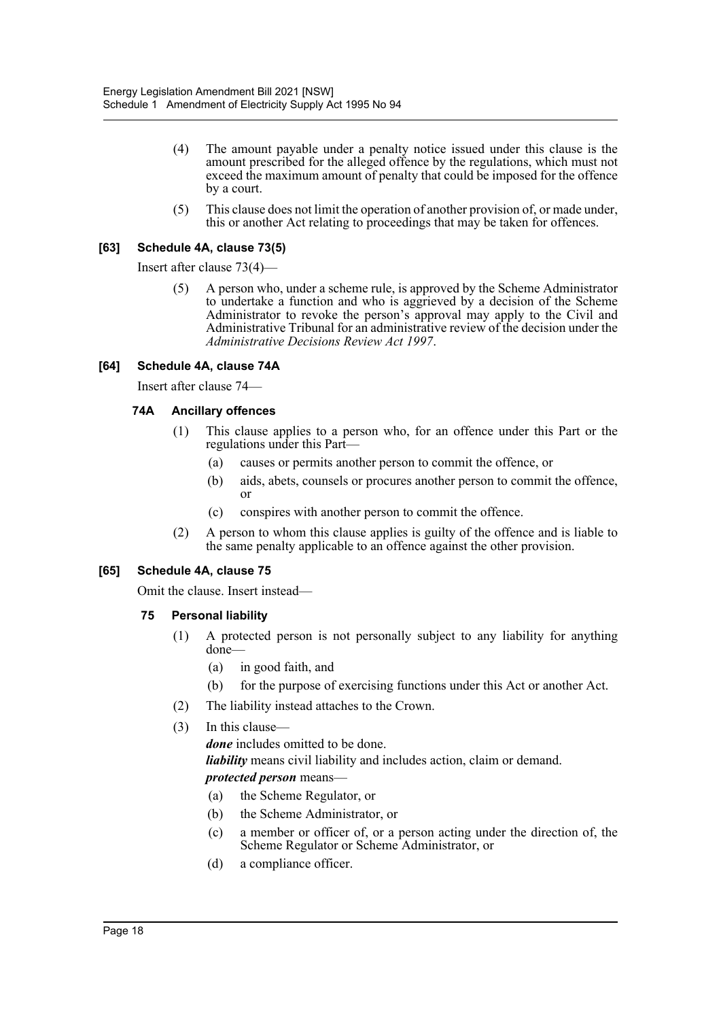- (4) The amount payable under a penalty notice issued under this clause is the amount prescribed for the alleged offence by the regulations, which must not exceed the maximum amount of penalty that could be imposed for the offence by a court.
- (5) This clause does not limit the operation of another provision of, or made under, this or another Act relating to proceedings that may be taken for offences.

#### **[63] Schedule 4A, clause 73(5)**

Insert after clause 73(4)—

(5) A person who, under a scheme rule, is approved by the Scheme Administrator to undertake a function and who is aggrieved by a decision of the Scheme Administrator to revoke the person's approval may apply to the Civil and Administrative Tribunal for an administrative review of the decision under the *Administrative Decisions Review Act 1997*.

#### **[64] Schedule 4A, clause 74A**

Insert after clause 74—

#### **74A Ancillary offences**

- (1) This clause applies to a person who, for an offence under this Part or the regulations under this Part—
	- (a) causes or permits another person to commit the offence, or
	- (b) aids, abets, counsels or procures another person to commit the offence, or
	- (c) conspires with another person to commit the offence.
- (2) A person to whom this clause applies is guilty of the offence and is liable to the same penalty applicable to an offence against the other provision.

#### **[65] Schedule 4A, clause 75**

Omit the clause. Insert instead—

- **75 Personal liability**
	- (1) A protected person is not personally subject to any liability for anything done—
		- (a) in good faith, and
		- (b) for the purpose of exercising functions under this Act or another Act.
	- (2) The liability instead attaches to the Crown.
	- (3) In this clause—

*done* includes omitted to be done.

*liability* means civil liability and includes action, claim or demand.

#### *protected person* means—

- (a) the Scheme Regulator, or
- (b) the Scheme Administrator, or
- (c) a member or officer of, or a person acting under the direction of, the Scheme Regulator or Scheme Administrator, or
- (d) a compliance officer.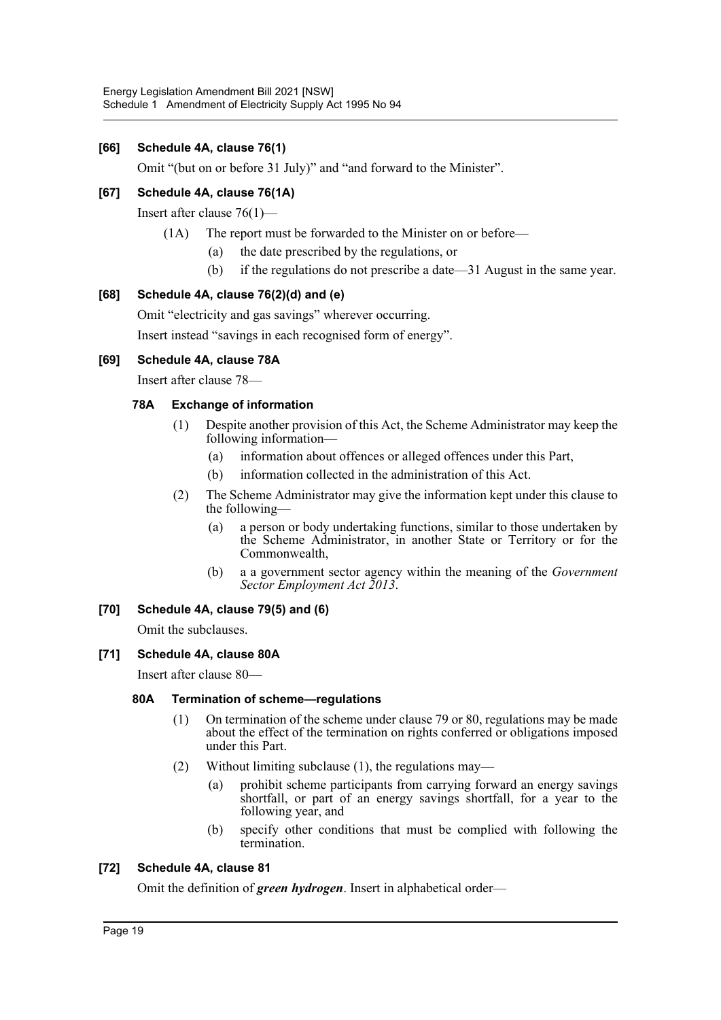#### **[66] Schedule 4A, clause 76(1)**

Omit "(but on or before 31 July)" and "and forward to the Minister".

#### **[67] Schedule 4A, clause 76(1A)**

Insert after clause 76(1)—

- (1A) The report must be forwarded to the Minister on or before—
	- (a) the date prescribed by the regulations, or
	- (b) if the regulations do not prescribe a date—31 August in the same year.

#### **[68] Schedule 4A, clause 76(2)(d) and (e)**

Omit "electricity and gas savings" wherever occurring.

Insert instead "savings in each recognised form of energy".

#### **[69] Schedule 4A, clause 78A**

Insert after clause 78—

#### **78A Exchange of information**

- (1) Despite another provision of this Act, the Scheme Administrator may keep the following information—
	- (a) information about offences or alleged offences under this Part,
	- (b) information collected in the administration of this Act.
- (2) The Scheme Administrator may give the information kept under this clause to the following—
	- (a) a person or body undertaking functions, similar to those undertaken by the Scheme Administrator, in another State or Territory or for the Commonwealth,
	- (b) a a government sector agency within the meaning of the *Government Sector Employment Act 2013*.

#### **[70] Schedule 4A, clause 79(5) and (6)**

Omit the subclauses.

#### **[71] Schedule 4A, clause 80A**

Insert after clause 80—

#### **80A Termination of scheme—regulations**

- (1) On termination of the scheme under clause 79 or 80, regulations may be made about the effect of the termination on rights conferred or obligations imposed under this Part.
- (2) Without limiting subclause (1), the regulations may—
	- (a) prohibit scheme participants from carrying forward an energy savings shortfall, or part of an energy savings shortfall, for a year to the following year, and
	- (b) specify other conditions that must be complied with following the termination.

#### **[72] Schedule 4A, clause 81**

Omit the definition of *green hydrogen*. Insert in alphabetical order—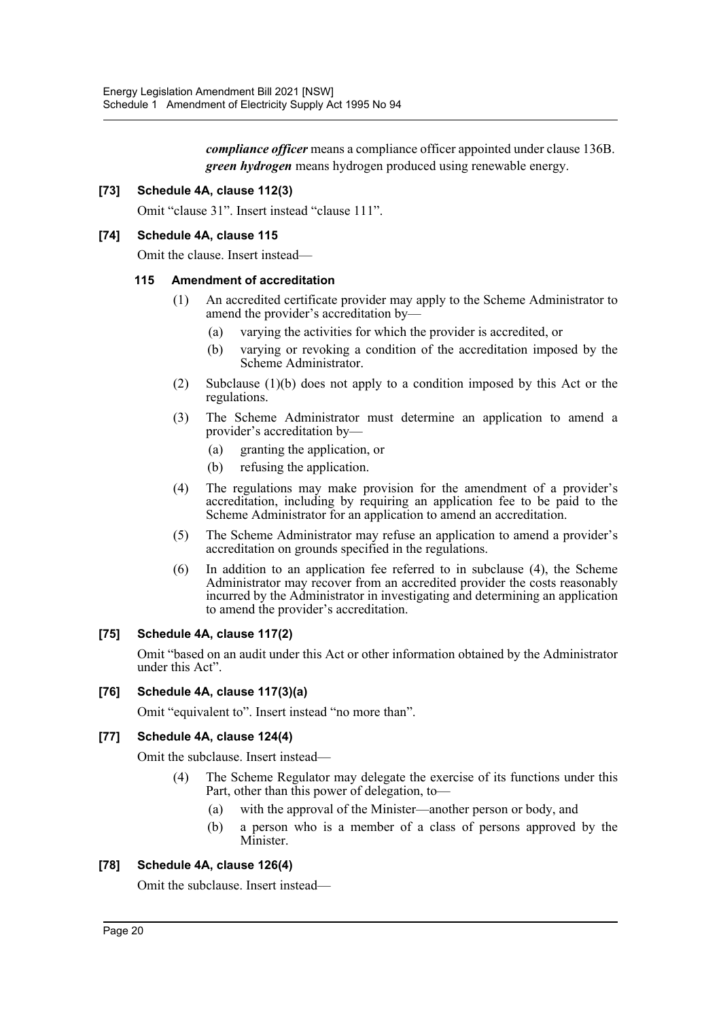*compliance officer* means a compliance officer appointed under clause 136B. *green hydrogen* means hydrogen produced using renewable energy.

#### **[73] Schedule 4A, clause 112(3)**

Omit "clause 31". Insert instead "clause 111".

#### **[74] Schedule 4A, clause 115**

Omit the clause. Insert instead—

#### **115 Amendment of accreditation**

- (1) An accredited certificate provider may apply to the Scheme Administrator to amend the provider's accreditation by—
	- (a) varying the activities for which the provider is accredited, or
	- (b) varying or revoking a condition of the accreditation imposed by the Scheme Administrator.
- (2) Subclause (1)(b) does not apply to a condition imposed by this Act or the regulations.
- (3) The Scheme Administrator must determine an application to amend a provider's accreditation by—
	- (a) granting the application, or
	- (b) refusing the application.
- (4) The regulations may make provision for the amendment of a provider's accreditation, including by requiring an application fee to be paid to the Scheme Administrator for an application to amend an accreditation.
- (5) The Scheme Administrator may refuse an application to amend a provider's accreditation on grounds specified in the regulations.
- (6) In addition to an application fee referred to in subclause (4), the Scheme Administrator may recover from an accredited provider the costs reasonably incurred by the Administrator in investigating and determining an application to amend the provider's accreditation.

#### **[75] Schedule 4A, clause 117(2)**

Omit "based on an audit under this Act or other information obtained by the Administrator under this Act".

#### **[76] Schedule 4A, clause 117(3)(a)**

Omit "equivalent to". Insert instead "no more than".

#### **[77] Schedule 4A, clause 124(4)**

Omit the subclause. Insert instead—

- (4) The Scheme Regulator may delegate the exercise of its functions under this Part, other than this power of delegation, to—
	- (a) with the approval of the Minister—another person or body, and
	- (b) a person who is a member of a class of persons approved by the Minister.

#### **[78] Schedule 4A, clause 126(4)**

Omit the subclause. Insert instead—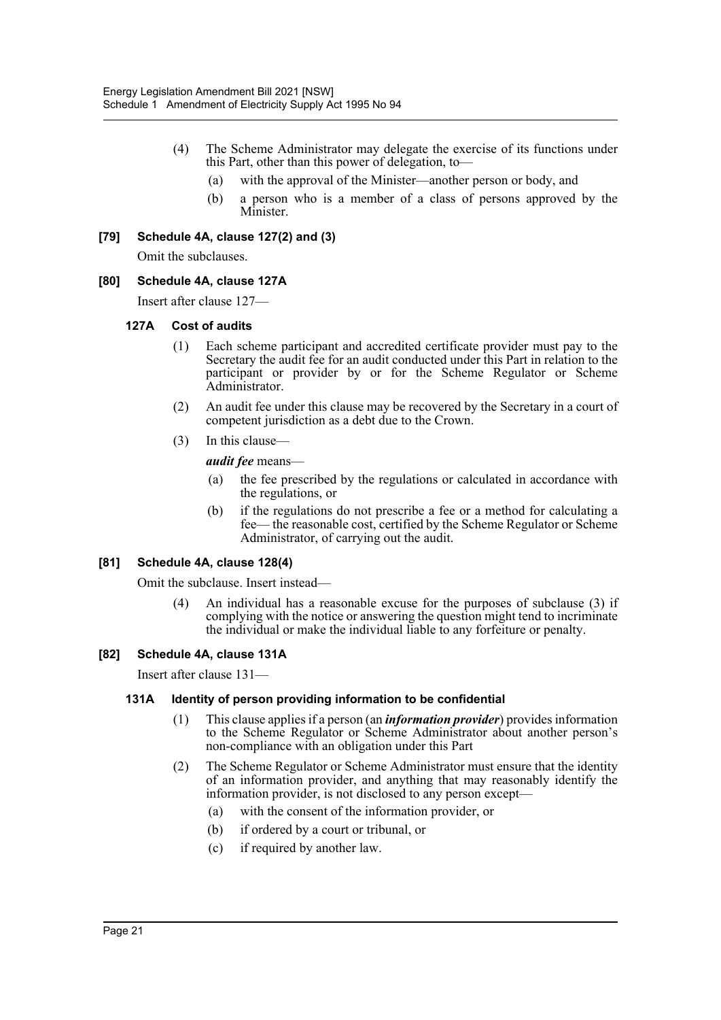- (4) The Scheme Administrator may delegate the exercise of its functions under this Part, other than this power of delegation, to—
	- (a) with the approval of the Minister—another person or body, and
	- (b) a person who is a member of a class of persons approved by the Minister.

#### **[79] Schedule 4A, clause 127(2) and (3)**

Omit the subclauses.

#### **[80] Schedule 4A, clause 127A**

Insert after clause 127—

#### **127A Cost of audits**

- (1) Each scheme participant and accredited certificate provider must pay to the Secretary the audit fee for an audit conducted under this Part in relation to the participant or provider by or for the Scheme Regulator or Scheme Administrator.
- (2) An audit fee under this clause may be recovered by the Secretary in a court of competent jurisdiction as a debt due to the Crown.
- (3) In this clause—

*audit fee* means—

- (a) the fee prescribed by the regulations or calculated in accordance with the regulations, or
- (b) if the regulations do not prescribe a fee or a method for calculating a fee— the reasonable cost, certified by the Scheme Regulator or Scheme Administrator, of carrying out the audit.

#### **[81] Schedule 4A, clause 128(4)**

Omit the subclause. Insert instead—

(4) An individual has a reasonable excuse for the purposes of subclause (3) if complying with the notice or answering the question might tend to incriminate the individual or make the individual liable to any forfeiture or penalty.

#### **[82] Schedule 4A, clause 131A**

Insert after clause 131—

#### **131A Identity of person providing information to be confidential**

- (1) This clause applies if a person (an *information provider*) provides information to the Scheme Regulator or Scheme Administrator about another person's non-compliance with an obligation under this Part
- (2) The Scheme Regulator or Scheme Administrator must ensure that the identity of an information provider, and anything that may reasonably identify the information provider, is not disclosed to any person except—
	- (a) with the consent of the information provider, or
	- (b) if ordered by a court or tribunal, or
	- (c) if required by another law.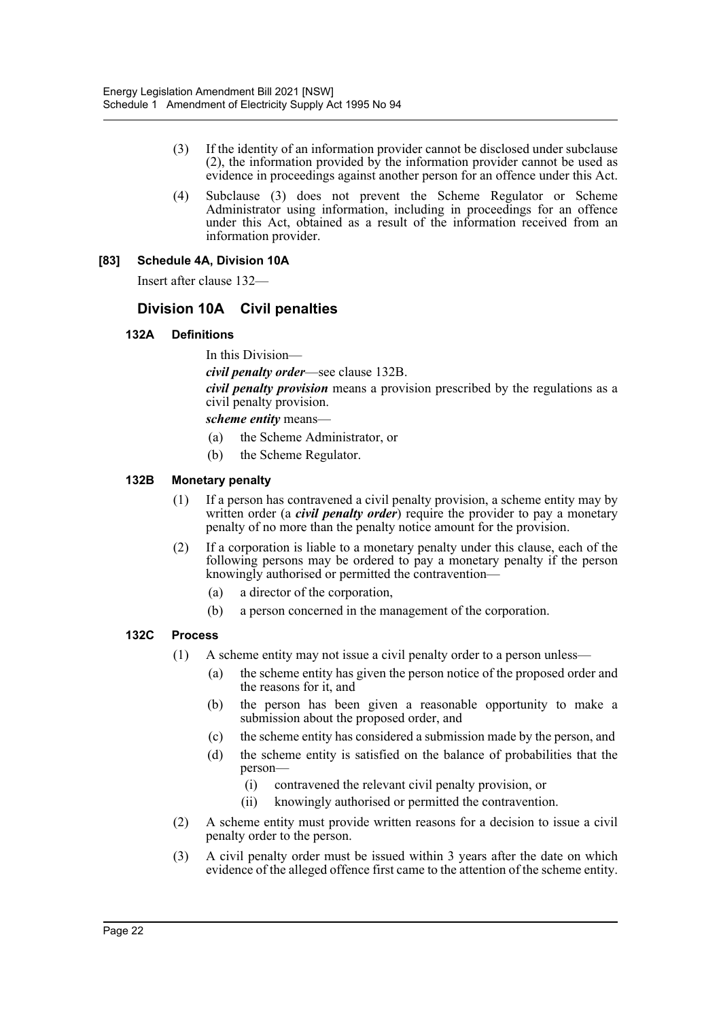- (3) If the identity of an information provider cannot be disclosed under subclause (2), the information provided by the information provider cannot be used as evidence in proceedings against another person for an offence under this Act.
- (4) Subclause (3) does not prevent the Scheme Regulator or Scheme Administrator using information, including in proceedings for an offence under this Act, obtained as a result of the information received from an information provider.

#### **[83] Schedule 4A, Division 10A**

Insert after clause 132—

# **Division 10A Civil penalties**

#### **132A Definitions**

In this Division—

*civil penalty order*—see clause 132B.

*civil penalty provision* means a provision prescribed by the regulations as a civil penalty provision.

*scheme entity* means—

- (a) the Scheme Administrator, or
- (b) the Scheme Regulator.

#### **132B Monetary penalty**

- (1) If a person has contravened a civil penalty provision, a scheme entity may by written order (a *civil penalty order*) require the provider to pay a monetary penalty of no more than the penalty notice amount for the provision.
- (2) If a corporation is liable to a monetary penalty under this clause, each of the following persons may be ordered to pay a monetary penalty if the person knowingly authorised or permitted the contravention—
	- (a) a director of the corporation,
	- (b) a person concerned in the management of the corporation.

#### **132C Process**

- (1) A scheme entity may not issue a civil penalty order to a person unless—
	- (a) the scheme entity has given the person notice of the proposed order and the reasons for it, and
	- (b) the person has been given a reasonable opportunity to make a submission about the proposed order, and
	- (c) the scheme entity has considered a submission made by the person, and
	- (d) the scheme entity is satisfied on the balance of probabilities that the person—
		- (i) contravened the relevant civil penalty provision, or
		- (ii) knowingly authorised or permitted the contravention.
- (2) A scheme entity must provide written reasons for a decision to issue a civil penalty order to the person.
- (3) A civil penalty order must be issued within 3 years after the date on which evidence of the alleged offence first came to the attention of the scheme entity.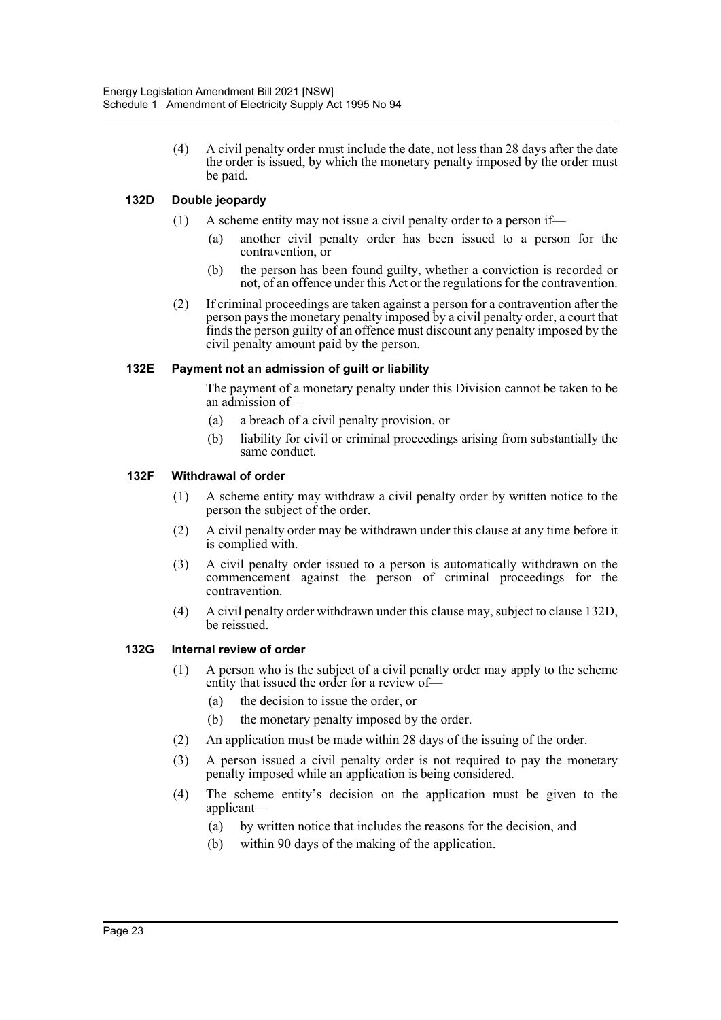(4) A civil penalty order must include the date, not less than 28 days after the date the order is issued, by which the monetary penalty imposed by the order must be paid.

#### **132D Double jeopardy**

- (1) A scheme entity may not issue a civil penalty order to a person if—
	- (a) another civil penalty order has been issued to a person for the contravention, or
	- (b) the person has been found guilty, whether a conviction is recorded or not, of an offence under this Act or the regulations for the contravention.
- (2) If criminal proceedings are taken against a person for a contravention after the person pays the monetary penalty imposed by a civil penalty order, a court that finds the person guilty of an offence must discount any penalty imposed by the civil penalty amount paid by the person.

#### **132E Payment not an admission of guilt or liability**

The payment of a monetary penalty under this Division cannot be taken to be an admission of—

- (a) a breach of a civil penalty provision, or
- (b) liability for civil or criminal proceedings arising from substantially the same conduct.

#### **132F Withdrawal of order**

- (1) A scheme entity may withdraw a civil penalty order by written notice to the person the subject of the order.
- (2) A civil penalty order may be withdrawn under this clause at any time before it is complied with.
- (3) A civil penalty order issued to a person is automatically withdrawn on the commencement against the person of criminal proceedings for the contravention.
- (4) A civil penalty order withdrawn under this clause may, subject to clause 132D, be reissued.

#### **132G Internal review of order**

- (1) A person who is the subject of a civil penalty order may apply to the scheme entity that issued the order for a review of—
	- (a) the decision to issue the order, or
	- (b) the monetary penalty imposed by the order.
- (2) An application must be made within 28 days of the issuing of the order.
- (3) A person issued a civil penalty order is not required to pay the monetary penalty imposed while an application is being considered.
- (4) The scheme entity's decision on the application must be given to the applicant—
	- (a) by written notice that includes the reasons for the decision, and
	- (b) within 90 days of the making of the application.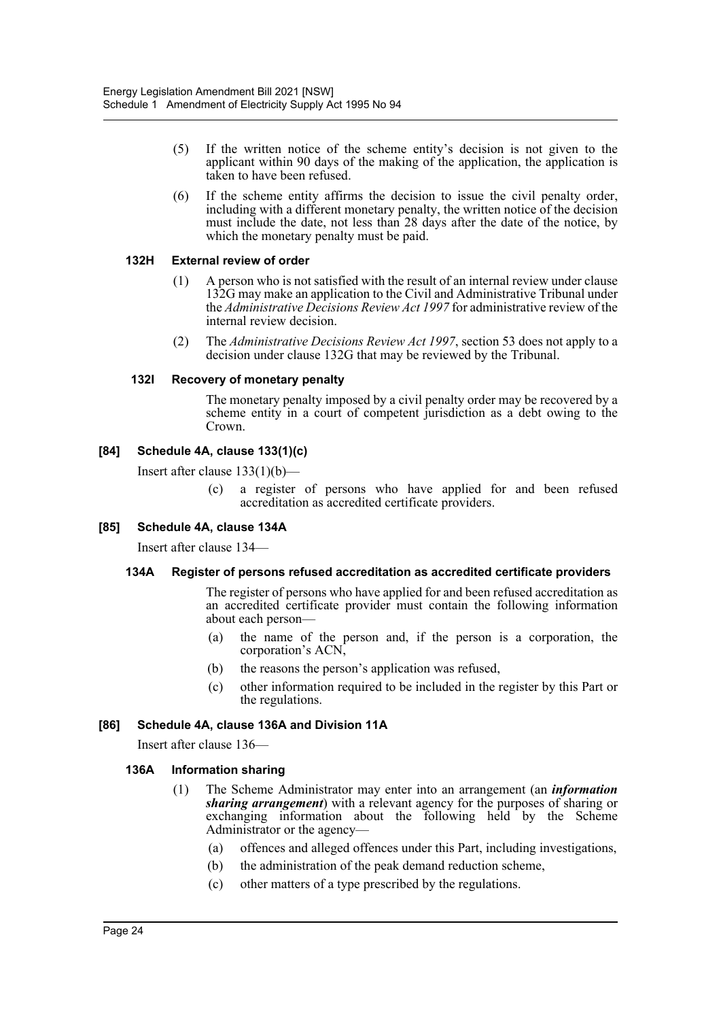- (5) If the written notice of the scheme entity's decision is not given to the applicant within 90 days of the making of the application, the application is taken to have been refused.
- (6) If the scheme entity affirms the decision to issue the civil penalty order, including with a different monetary penalty, the written notice of the decision must include the date, not less than 28 days after the date of the notice, by which the monetary penalty must be paid.

#### **132H External review of order**

- (1) A person who is not satisfied with the result of an internal review under clause 132G may make an application to the Civil and Administrative Tribunal under the *Administrative Decisions Review Act 1997* for administrative review of the internal review decision.
- (2) The *Administrative Decisions Review Act 1997*, section 53 does not apply to a decision under clause 132G that may be reviewed by the Tribunal.

#### **132I Recovery of monetary penalty**

The monetary penalty imposed by a civil penalty order may be recovered by a scheme entity in a court of competent jurisdiction as a debt owing to the Crown.

#### **[84] Schedule 4A, clause 133(1)(c)**

Insert after clause 133(1)(b)—

(c) a register of persons who have applied for and been refused accreditation as accredited certificate providers.

#### **[85] Schedule 4A, clause 134A**

Insert after clause 134—

#### **134A Register of persons refused accreditation as accredited certificate providers**

The register of persons who have applied for and been refused accreditation as an accredited certificate provider must contain the following information about each person—

- (a) the name of the person and, if the person is a corporation, the corporation's ACN,
- (b) the reasons the person's application was refused,
- (c) other information required to be included in the register by this Part or the regulations.

#### **[86] Schedule 4A, clause 136A and Division 11A**

Insert after clause 136—

#### **136A Information sharing**

- (1) The Scheme Administrator may enter into an arrangement (an *information sharing arrangement*) with a relevant agency for the purposes of sharing or exchanging information about the following held by the Scheme Administrator or the agency—
	- (a) offences and alleged offences under this Part, including investigations,
	- (b) the administration of the peak demand reduction scheme,
	- (c) other matters of a type prescribed by the regulations.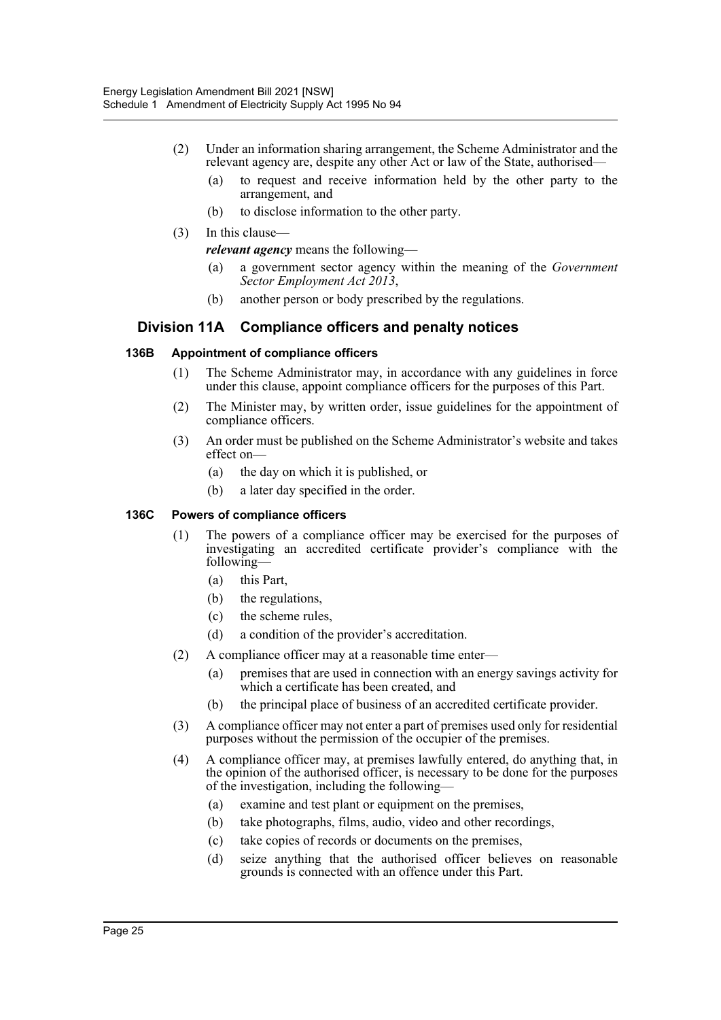- (2) Under an information sharing arrangement, the Scheme Administrator and the relevant agency are, despite any other Act or law of the State, authorised—
	- (a) to request and receive information held by the other party to the arrangement, and
	- (b) to disclose information to the other party.
- (3) In this clause
	- *relevant agency* means the following—
		- (a) a government sector agency within the meaning of the *Government Sector Employment Act 2013*,
	- (b) another person or body prescribed by the regulations.

#### **Division 11A Compliance officers and penalty notices**

#### **136B Appointment of compliance officers**

- (1) The Scheme Administrator may, in accordance with any guidelines in force under this clause, appoint compliance officers for the purposes of this Part.
- (2) The Minister may, by written order, issue guidelines for the appointment of compliance officers.
- (3) An order must be published on the Scheme Administrator's website and takes effect on—
	- (a) the day on which it is published, or
	- (b) a later day specified in the order.

#### **136C Powers of compliance officers**

- (1) The powers of a compliance officer may be exercised for the purposes of investigating an accredited certificate provider's compliance with the following—
	- (a) this Part,
	- (b) the regulations,
	- (c) the scheme rules,
	- (d) a condition of the provider's accreditation.
- (2) A compliance officer may at a reasonable time enter—
	- (a) premises that are used in connection with an energy savings activity for which a certificate has been created, and
	- (b) the principal place of business of an accredited certificate provider.
- (3) A compliance officer may not enter a part of premises used only for residential purposes without the permission of the occupier of the premises.
- (4) A compliance officer may, at premises lawfully entered, do anything that, in the opinion of the authorised officer, is necessary to be done for the purposes of the investigation, including the following—
	- (a) examine and test plant or equipment on the premises,
	- (b) take photographs, films, audio, video and other recordings,
	- (c) take copies of records or documents on the premises,
	- (d) seize anything that the authorised officer believes on reasonable grounds is connected with an offence under this Part.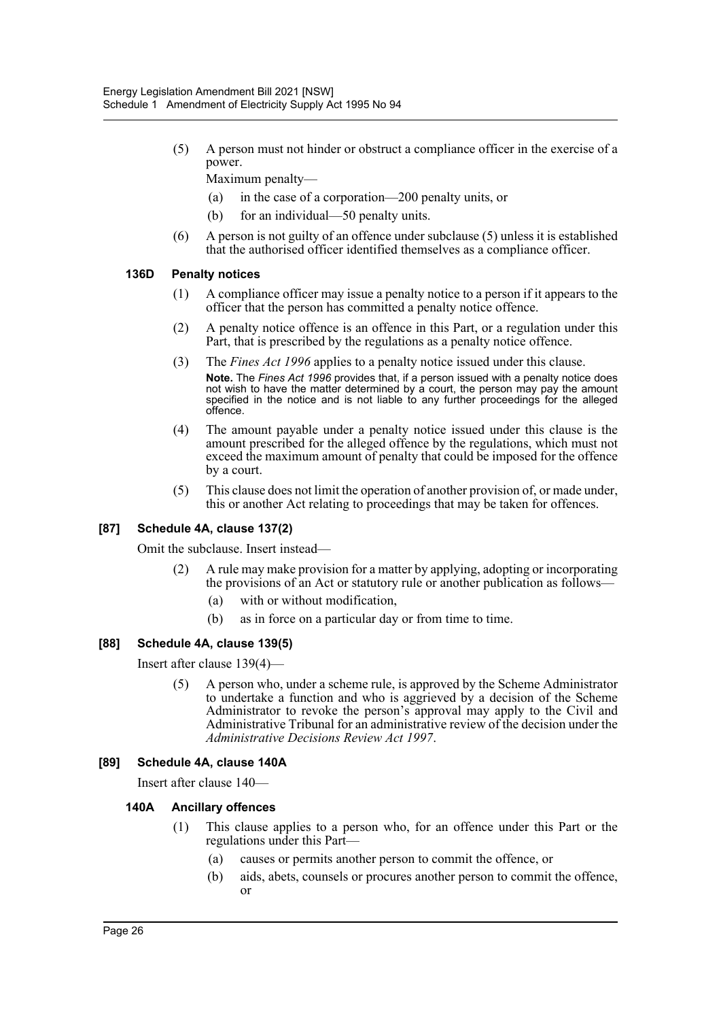(5) A person must not hinder or obstruct a compliance officer in the exercise of a power.

Maximum penalty—

- (a) in the case of a corporation—200 penalty units, or
- (b) for an individual—50 penalty units.
- (6) A person is not guilty of an offence under subclause (5) unless it is established that the authorised officer identified themselves as a compliance officer.

#### **136D Penalty notices**

- (1) A compliance officer may issue a penalty notice to a person if it appears to the officer that the person has committed a penalty notice offence.
- (2) A penalty notice offence is an offence in this Part, or a regulation under this Part, that is prescribed by the regulations as a penalty notice offence.
- (3) The *Fines Act 1996* applies to a penalty notice issued under this clause. **Note.** The *Fines Act 1996* provides that, if a person issued with a penalty notice does not wish to have the matter determined by a court, the person may pay the amount specified in the notice and is not liable to any further proceedings for the alleged offence.
- (4) The amount payable under a penalty notice issued under this clause is the amount prescribed for the alleged offence by the regulations, which must not exceed the maximum amount of penalty that could be imposed for the offence by a court.
- (5) This clause does not limit the operation of another provision of, or made under, this or another Act relating to proceedings that may be taken for offences.

#### **[87] Schedule 4A, clause 137(2)**

Omit the subclause. Insert instead—

- (2) A rule may make provision for a matter by applying, adopting or incorporating the provisions of an Act or statutory rule or another publication as follows—
	- (a) with or without modification,
	- (b) as in force on a particular day or from time to time.

#### **[88] Schedule 4A, clause 139(5)**

Insert after clause 139(4)—

(5) A person who, under a scheme rule, is approved by the Scheme Administrator to undertake a function and who is aggrieved by a decision of the Scheme Administrator to revoke the person's approval may apply to the Civil and Administrative Tribunal for an administrative review of the decision under the *Administrative Decisions Review Act 1997*.

#### **[89] Schedule 4A, clause 140A**

Insert after clause 140—

#### **140A Ancillary offences**

- (1) This clause applies to a person who, for an offence under this Part or the regulations under this Part—
	- (a) causes or permits another person to commit the offence, or
	- (b) aids, abets, counsels or procures another person to commit the offence, or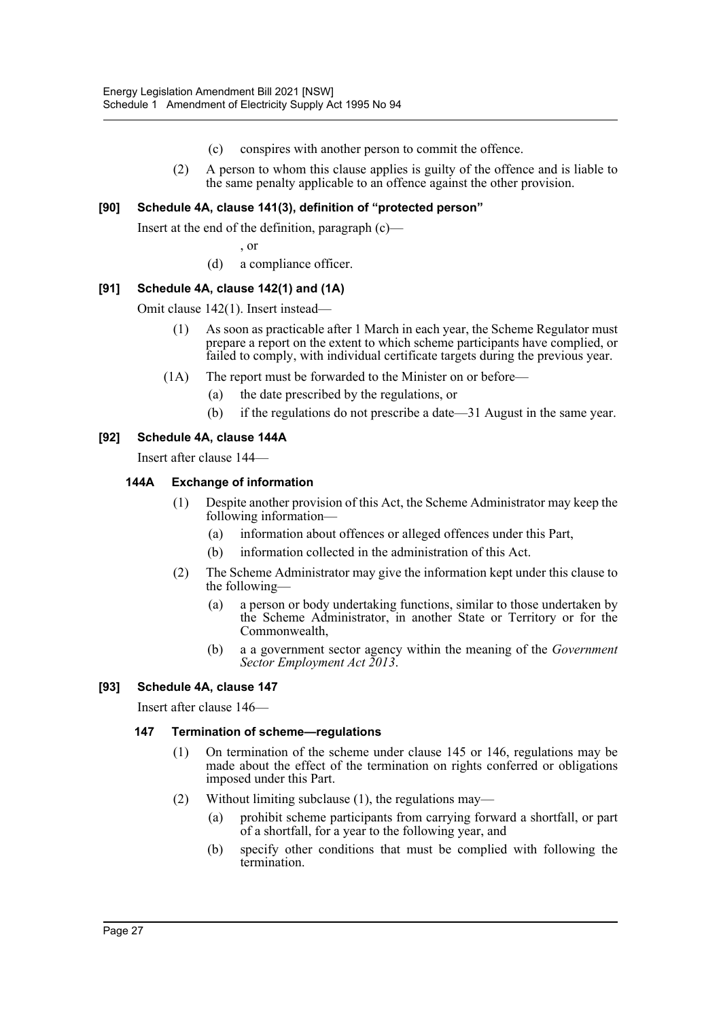- (c) conspires with another person to commit the offence.
- (2) A person to whom this clause applies is guilty of the offence and is liable to the same penalty applicable to an offence against the other provision.

#### **[90] Schedule 4A, clause 141(3), definition of "protected person"**

Insert at the end of the definition, paragraph (c)—

- , or
- (d) a compliance officer.

#### **[91] Schedule 4A, clause 142(1) and (1A)**

Omit clause 142(1). Insert instead—

- (1) As soon as practicable after 1 March in each year, the Scheme Regulator must prepare a report on the extent to which scheme participants have complied, or failed to comply, with individual certificate targets during the previous year.
- (1A) The report must be forwarded to the Minister on or before—
	- (a) the date prescribed by the regulations, or
	- (b) if the regulations do not prescribe a date—31 August in the same year.

#### **[92] Schedule 4A, clause 144A**

Insert after clause 144—

#### **144A Exchange of information**

- (1) Despite another provision of this Act, the Scheme Administrator may keep the following information—
	- (a) information about offences or alleged offences under this Part,
	- (b) information collected in the administration of this Act.
- (2) The Scheme Administrator may give the information kept under this clause to the following—
	- (a) a person or body undertaking functions, similar to those undertaken by the Scheme Administrator, in another State or Territory or for the Commonwealth,
	- (b) a a government sector agency within the meaning of the *Government Sector Employment Act 2013*.

#### **[93] Schedule 4A, clause 147**

Insert after clause 146—

#### **147 Termination of scheme—regulations**

- (1) On termination of the scheme under clause 145 or 146, regulations may be made about the effect of the termination on rights conferred or obligations imposed under this Part.
- (2) Without limiting subclause (1), the regulations may—
	- (a) prohibit scheme participants from carrying forward a shortfall, or part of a shortfall, for a year to the following year, and
	- (b) specify other conditions that must be complied with following the termination.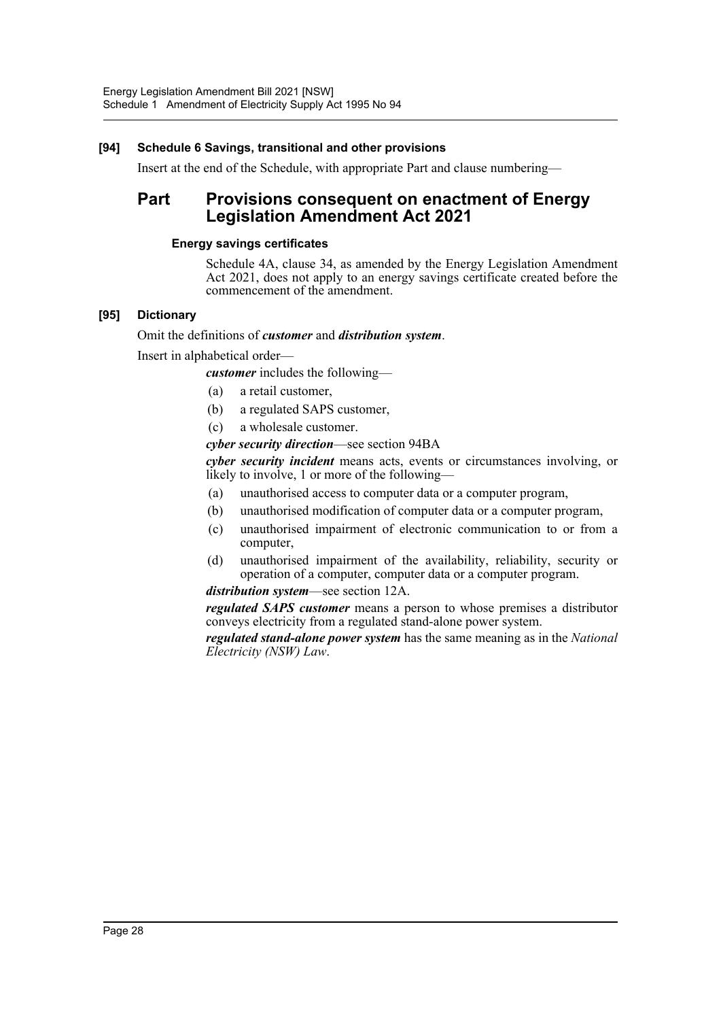#### **[94] Schedule 6 Savings, transitional and other provisions**

Insert at the end of the Schedule, with appropriate Part and clause numbering—

# **Part Provisions consequent on enactment of Energy Legislation Amendment Act 2021**

#### **Energy savings certificates**

Schedule 4A, clause 34, as amended by the Energy Legislation Amendment Act 2021, does not apply to an energy savings certificate created before the commencement of the amendment.

#### **[95] Dictionary**

#### Omit the definitions of *customer* and *distribution system*.

Insert in alphabetical order—

*customer* includes the following—

- (a) a retail customer,
- (b) a regulated SAPS customer,
- (c) a wholesale customer.

#### *cyber security direction*—see section 94BA

*cyber security incident* means acts, events or circumstances involving, or likely to involve, 1 or more of the following—

- (a) unauthorised access to computer data or a computer program,
- (b) unauthorised modification of computer data or a computer program,
- (c) unauthorised impairment of electronic communication to or from a computer,
- (d) unauthorised impairment of the availability, reliability, security or operation of a computer, computer data or a computer program.

#### *distribution system*—see section 12A.

*regulated SAPS customer* means a person to whose premises a distributor conveys electricity from a regulated stand-alone power system.

*regulated stand-alone power system* has the same meaning as in the *National Electricity (NSW) Law*.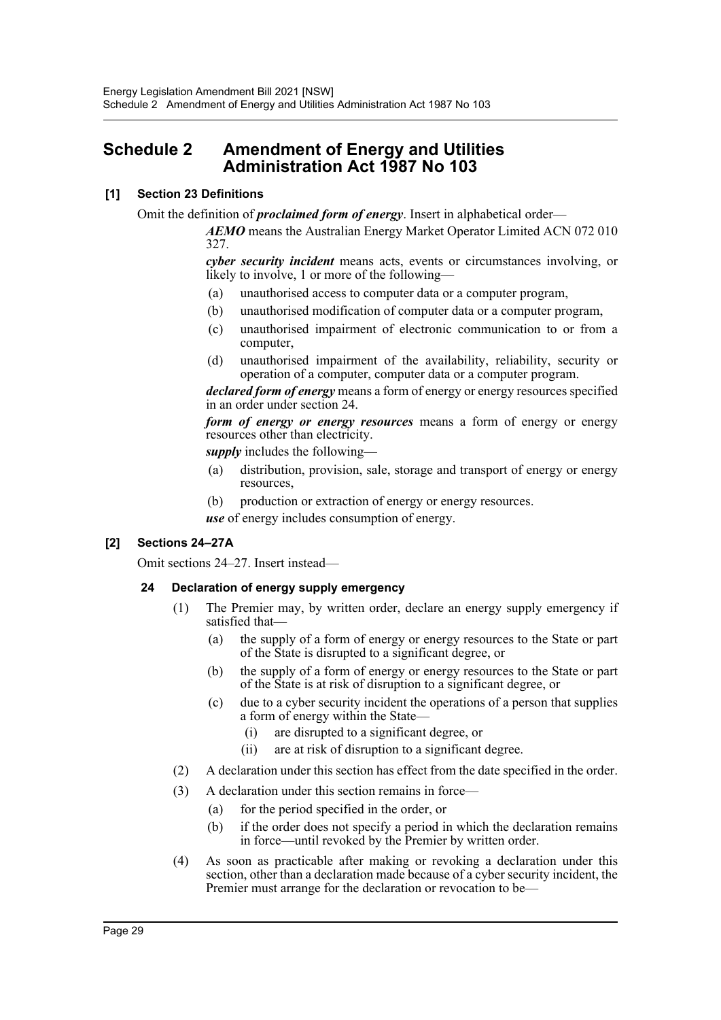# <span id="page-29-0"></span>**Schedule 2 Amendment of Energy and Utilities Administration Act 1987 No 103**

#### **[1] Section 23 Definitions**

Omit the definition of *proclaimed form of energy*. Insert in alphabetical order—

*AEMO* means the Australian Energy Market Operator Limited ACN 072 010 327.

*cyber security incident* means acts, events or circumstances involving, or likely to involve, 1 or more of the following—

- (a) unauthorised access to computer data or a computer program,
- (b) unauthorised modification of computer data or a computer program,
- (c) unauthorised impairment of electronic communication to or from a computer,
- (d) unauthorised impairment of the availability, reliability, security or operation of a computer, computer data or a computer program.

*declared form of energy* means a form of energy or energy resources specified in an order under section 24.

*form of energy or energy resources* means a form of energy or energy resources other than electricity.

*supply* includes the following—

- (a) distribution, provision, sale, storage and transport of energy or energy resources,
- (b) production or extraction of energy or energy resources.

*use* of energy includes consumption of energy.

#### **[2] Sections 24–27A**

Omit sections 24–27. Insert instead—

#### **24 Declaration of energy supply emergency**

- (1) The Premier may, by written order, declare an energy supply emergency if satisfied that—
	- (a) the supply of a form of energy or energy resources to the State or part of the State is disrupted to a significant degree, or
	- (b) the supply of a form of energy or energy resources to the State or part of the State is at risk of disruption to a significant degree, or
	- (c) due to a cyber security incident the operations of a person that supplies a form of energy within the State—
		- (i) are disrupted to a significant degree, or
		- (ii) are at risk of disruption to a significant degree.
- (2) A declaration under this section has effect from the date specified in the order.
- (3) A declaration under this section remains in force—
	- (a) for the period specified in the order, or
	- (b) if the order does not specify a period in which the declaration remains in force—until revoked by the Premier by written order.
- (4) As soon as practicable after making or revoking a declaration under this section, other than a declaration made because of a cyber security incident, the Premier must arrange for the declaration or revocation to be—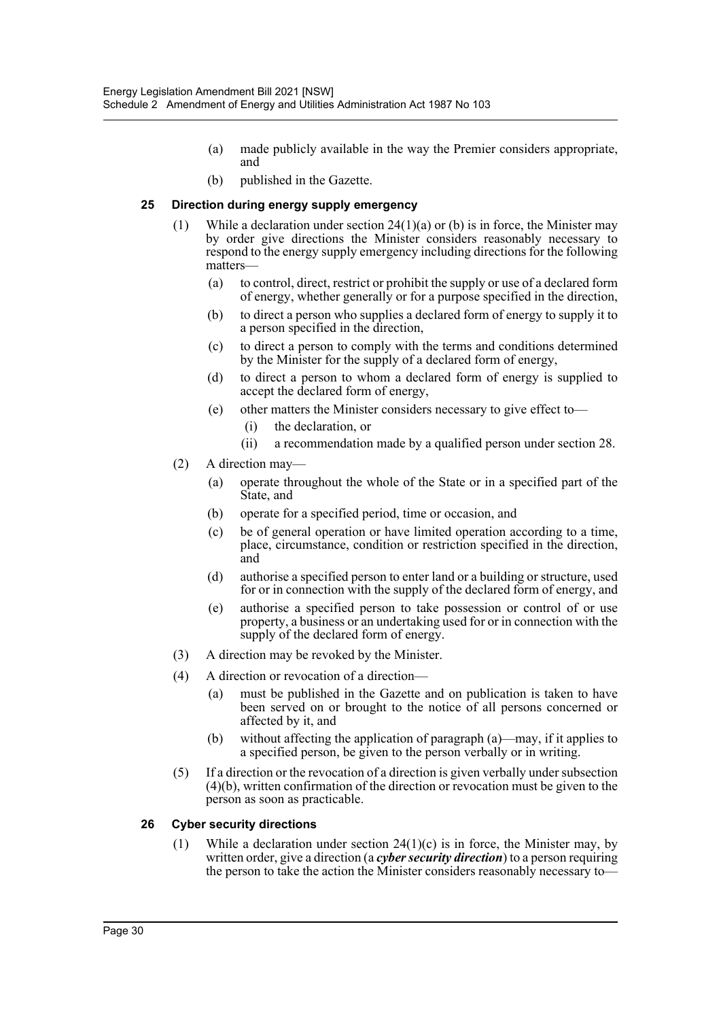- (a) made publicly available in the way the Premier considers appropriate, and
- (b) published in the Gazette.

#### **25 Direction during energy supply emergency**

- (1) While a declaration under section  $24(1)(a)$  or (b) is in force, the Minister may by order give directions the Minister considers reasonably necessary to respond to the energy supply emergency including directions for the following matters—
	- (a) to control, direct, restrict or prohibit the supply or use of a declared form of energy, whether generally or for a purpose specified in the direction,
	- (b) to direct a person who supplies a declared form of energy to supply it to a person specified in the direction,
	- (c) to direct a person to comply with the terms and conditions determined by the Minister for the supply of a declared form of energy,
	- (d) to direct a person to whom a declared form of energy is supplied to accept the declared form of energy,
	- (e) other matters the Minister considers necessary to give effect to—
		- (i) the declaration, or
		- (ii) a recommendation made by a qualified person under section 28.
- (2) A direction may—
	- (a) operate throughout the whole of the State or in a specified part of the State, and
	- (b) operate for a specified period, time or occasion, and
	- (c) be of general operation or have limited operation according to a time, place, circumstance, condition or restriction specified in the direction, and
	- (d) authorise a specified person to enter land or a building or structure, used for or in connection with the supply of the declared form of energy, and
	- (e) authorise a specified person to take possession or control of or use property, a business or an undertaking used for or in connection with the supply of the declared form of energy.
- (3) A direction may be revoked by the Minister.
- (4) A direction or revocation of a direction—
	- (a) must be published in the Gazette and on publication is taken to have been served on or brought to the notice of all persons concerned or affected by it, and
	- (b) without affecting the application of paragraph (a)—may, if it applies to a specified person, be given to the person verbally or in writing.
- (5) If a direction or the revocation of a direction is given verbally under subsection (4)(b), written confirmation of the direction or revocation must be given to the person as soon as practicable.

#### **26 Cyber security directions**

(1) While a declaration under section  $24(1)(c)$  is in force, the Minister may, by written order, give a direction (a *cyber security direction*) to a person requiring the person to take the action the Minister considers reasonably necessary to—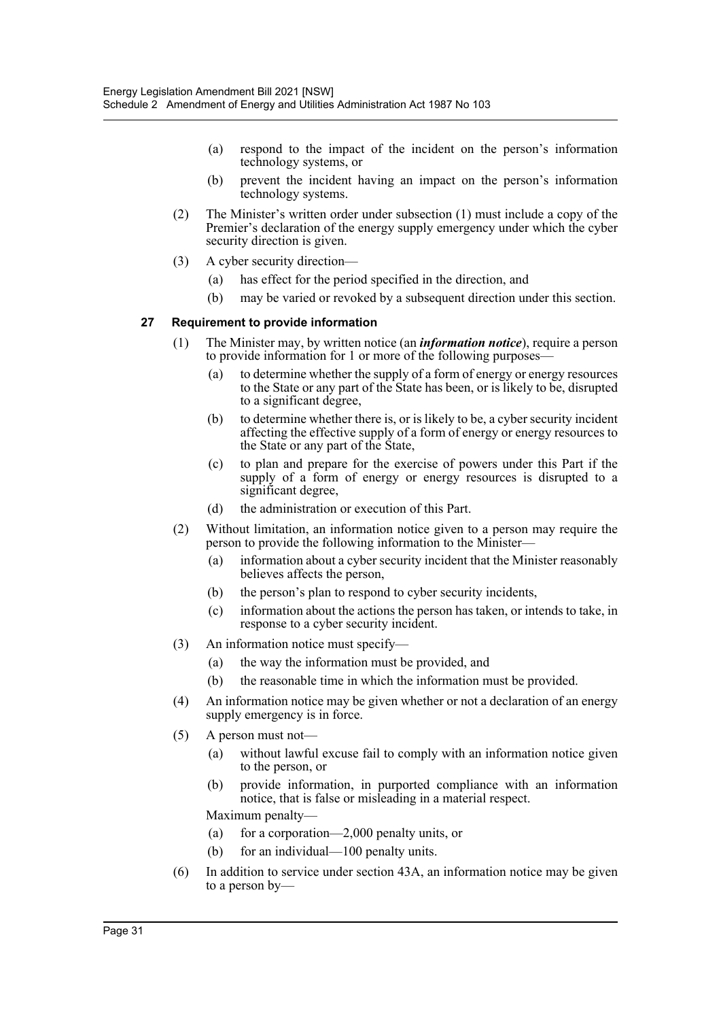- (a) respond to the impact of the incident on the person's information technology systems, or
- (b) prevent the incident having an impact on the person's information technology systems.
- (2) The Minister's written order under subsection (1) must include a copy of the Premier's declaration of the energy supply emergency under which the cyber security direction is given.
- (3) A cyber security direction—
	- (a) has effect for the period specified in the direction, and
	- (b) may be varied or revoked by a subsequent direction under this section.

#### **27 Requirement to provide information**

- (1) The Minister may, by written notice (an *information notice*), require a person to provide information for 1 or more of the following purposes—
	- (a) to determine whether the supply of a form of energy or energy resources to the State or any part of the State has been, or is likely to be, disrupted to a significant degree,
	- (b) to determine whether there is, or is likely to be, a cyber security incident affecting the effective supply of a form of energy or energy resources to the State or any part of the State,
	- (c) to plan and prepare for the exercise of powers under this Part if the supply of a form of energy or energy resources is disrupted to a significant degree,
	- (d) the administration or execution of this Part.
- (2) Without limitation, an information notice given to a person may require the person to provide the following information to the Minister—
	- (a) information about a cyber security incident that the Minister reasonably believes affects the person,
	- (b) the person's plan to respond to cyber security incidents,
	- (c) information about the actions the person has taken, or intends to take, in response to a cyber security incident.
- (3) An information notice must specify—
	- (a) the way the information must be provided, and
	- (b) the reasonable time in which the information must be provided.
- (4) An information notice may be given whether or not a declaration of an energy supply emergency is in force.
- (5) A person must not—
	- (a) without lawful excuse fail to comply with an information notice given to the person, or
	- (b) provide information, in purported compliance with an information notice, that is false or misleading in a material respect.

Maximum penalty—

- (a) for a corporation—2,000 penalty units, or
- (b) for an individual—100 penalty units.
- (6) In addition to service under section 43A, an information notice may be given to a person by—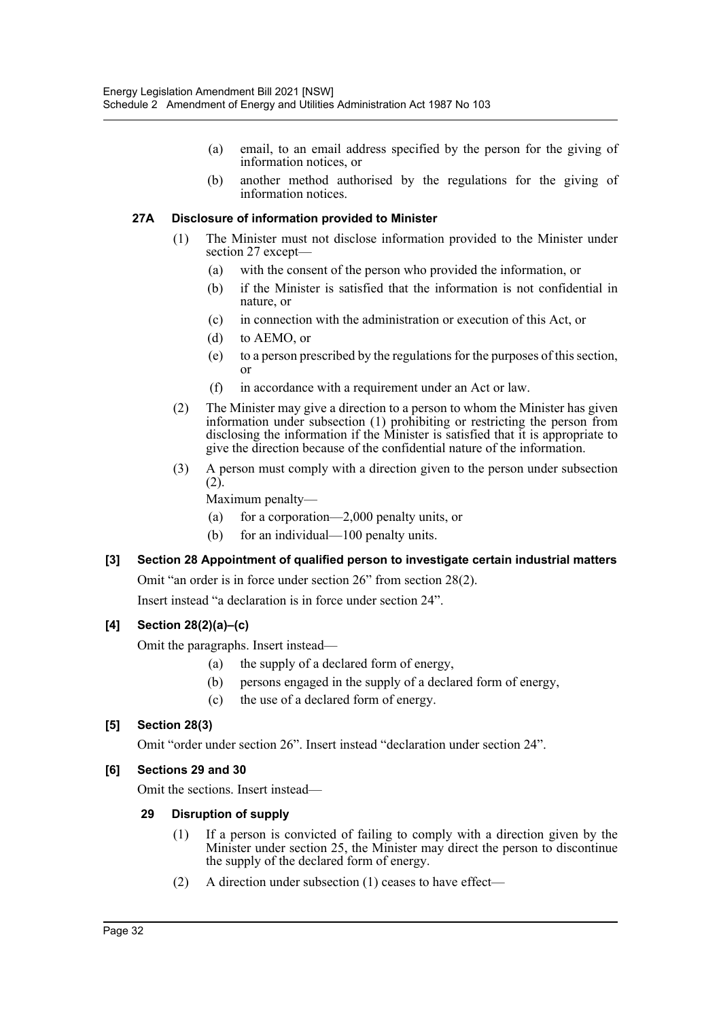- (a) email, to an email address specified by the person for the giving of information notices, or
- (b) another method authorised by the regulations for the giving of information notices.

#### **27A Disclosure of information provided to Minister**

- (1) The Minister must not disclose information provided to the Minister under section 27 except—
	- (a) with the consent of the person who provided the information, or
	- (b) if the Minister is satisfied that the information is not confidential in nature, or
	- (c) in connection with the administration or execution of this Act, or
	- (d) to AEMO, or
	- (e) to a person prescribed by the regulations for the purposes of this section, or
	- (f) in accordance with a requirement under an Act or law.
- (2) The Minister may give a direction to a person to whom the Minister has given information under subsection (1) prohibiting or restricting the person from disclosing the information if the Minister is satisfied that it is appropriate to give the direction because of the confidential nature of the information.
- (3) A person must comply with a direction given to the person under subsection (2).

Maximum penalty—

- (a) for a corporation—2,000 penalty units, or
- (b) for an individual—100 penalty units.

#### **[3] Section 28 Appointment of qualified person to investigate certain industrial matters**

Omit "an order is in force under section 26" from section 28(2).

Insert instead "a declaration is in force under section 24".

#### **[4] Section 28(2)(a)–(c)**

Omit the paragraphs. Insert instead—

- (a) the supply of a declared form of energy,
- (b) persons engaged in the supply of a declared form of energy,
- (c) the use of a declared form of energy.

#### **[5] Section 28(3)**

Omit "order under section 26". Insert instead "declaration under section 24".

#### **[6] Sections 29 and 30**

Omit the sections. Insert instead—

#### **29 Disruption of supply**

- (1) If a person is convicted of failing to comply with a direction given by the Minister under section 25, the Minister may direct the person to discontinue the supply of the declared form of energy.
- (2) A direction under subsection (1) ceases to have effect—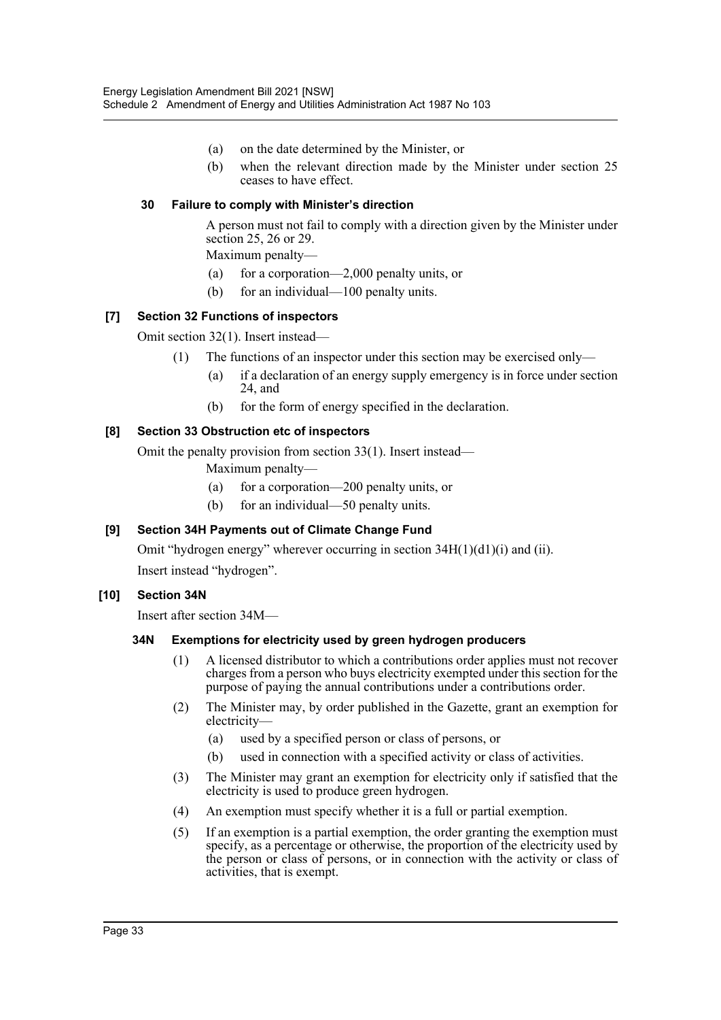- (a) on the date determined by the Minister, or
- (b) when the relevant direction made by the Minister under section 25 ceases to have effect.

#### **30 Failure to comply with Minister's direction**

A person must not fail to comply with a direction given by the Minister under section 25, 26 or 29.

Maximum penalty—

- (a) for a corporation—2,000 penalty units, or
- (b) for an individual—100 penalty units.

#### **[7] Section 32 Functions of inspectors**

Omit section 32(1). Insert instead—

- (1) The functions of an inspector under this section may be exercised only—
	- (a) if a declaration of an energy supply emergency is in force under section 24, and
	- (b) for the form of energy specified in the declaration.

#### **[8] Section 33 Obstruction etc of inspectors**

Omit the penalty provision from section 33(1). Insert instead—

Maximum penalty—

- (a) for a corporation—200 penalty units, or
- (b) for an individual—50 penalty units.

#### **[9] Section 34H Payments out of Climate Change Fund**

Omit "hydrogen energy" wherever occurring in section 34H(1)(d1)(i) and (ii).

Insert instead "hydrogen".

#### **[10] Section 34N**

Insert after section 34M—

#### **34N Exemptions for electricity used by green hydrogen producers**

- (1) A licensed distributor to which a contributions order applies must not recover charges from a person who buys electricity exempted under this section for the purpose of paying the annual contributions under a contributions order.
- (2) The Minister may, by order published in the Gazette, grant an exemption for electricity—
	- (a) used by a specified person or class of persons, or
	- (b) used in connection with a specified activity or class of activities.
- (3) The Minister may grant an exemption for electricity only if satisfied that the electricity is used to produce green hydrogen.
- (4) An exemption must specify whether it is a full or partial exemption.
- (5) If an exemption is a partial exemption, the order granting the exemption must specify, as a percentage or otherwise, the proportion of the electricity used by the person or class of persons, or in connection with the activity or class of activities, that is exempt.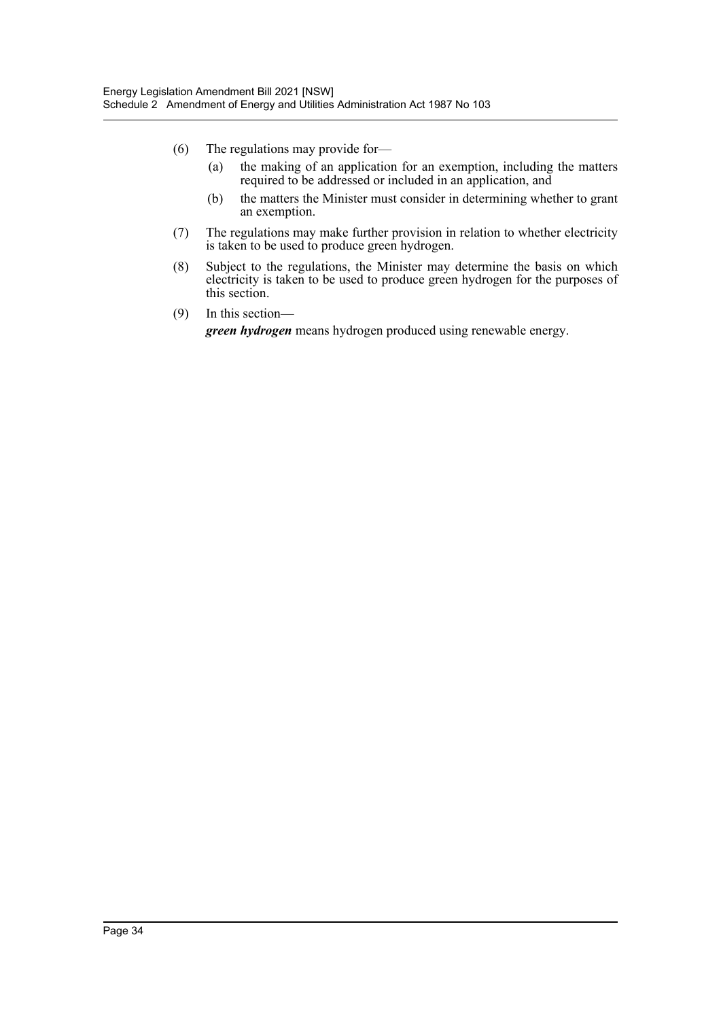- (6) The regulations may provide for—
	- (a) the making of an application for an exemption, including the matters required to be addressed or included in an application, and
	- (b) the matters the Minister must consider in determining whether to grant an exemption.
- (7) The regulations may make further provision in relation to whether electricity is taken to be used to produce green hydrogen.
- (8) Subject to the regulations, the Minister may determine the basis on which electricity is taken to be used to produce green hydrogen for the purposes of this section.
- (9) In this section *green hydrogen* means hydrogen produced using renewable energy.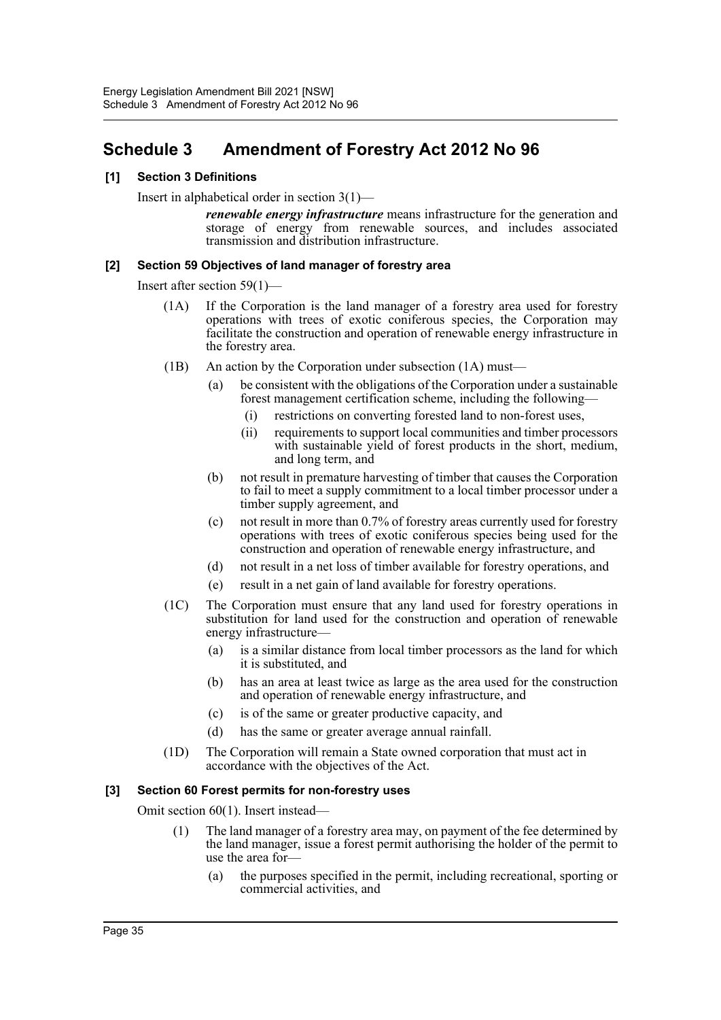# <span id="page-35-0"></span>**Schedule 3 Amendment of Forestry Act 2012 No 96**

#### **[1] Section 3 Definitions**

Insert in alphabetical order in section 3(1)—

*renewable energy infrastructure* means infrastructure for the generation and storage of energy from renewable sources, and includes associated transmission and distribution infrastructure.

#### **[2] Section 59 Objectives of land manager of forestry area**

Insert after section 59(1)—

- (1A) If the Corporation is the land manager of a forestry area used for forestry operations with trees of exotic coniferous species, the Corporation may facilitate the construction and operation of renewable energy infrastructure in the forestry area.
- (1B) An action by the Corporation under subsection (1A) must—
	- (a) be consistent with the obligations of the Corporation under a sustainable forest management certification scheme, including the following—
		- (i) restrictions on converting forested land to non-forest uses,
		- (ii) requirements to support local communities and timber processors with sustainable yield of forest products in the short, medium, and long term, and
	- (b) not result in premature harvesting of timber that causes the Corporation to fail to meet a supply commitment to a local timber processor under a timber supply agreement, and
	- (c) not result in more than 0.7% of forestry areas currently used for forestry operations with trees of exotic coniferous species being used for the construction and operation of renewable energy infrastructure, and
	- (d) not result in a net loss of timber available for forestry operations, and
	- (e) result in a net gain of land available for forestry operations.
- (1C) The Corporation must ensure that any land used for forestry operations in substitution for land used for the construction and operation of renewable energy infrastructure—
	- (a) is a similar distance from local timber processors as the land for which it is substituted, and
	- (b) has an area at least twice as large as the area used for the construction and operation of renewable energy infrastructure, and
	- (c) is of the same or greater productive capacity, and
	- (d) has the same or greater average annual rainfall.
- (1D) The Corporation will remain a State owned corporation that must act in accordance with the objectives of the Act.

#### **[3] Section 60 Forest permits for non-forestry uses**

Omit section 60(1). Insert instead—

- (1) The land manager of a forestry area may, on payment of the fee determined by the land manager, issue a forest permit authorising the holder of the permit to use the area for-
	- (a) the purposes specified in the permit, including recreational, sporting or commercial activities, and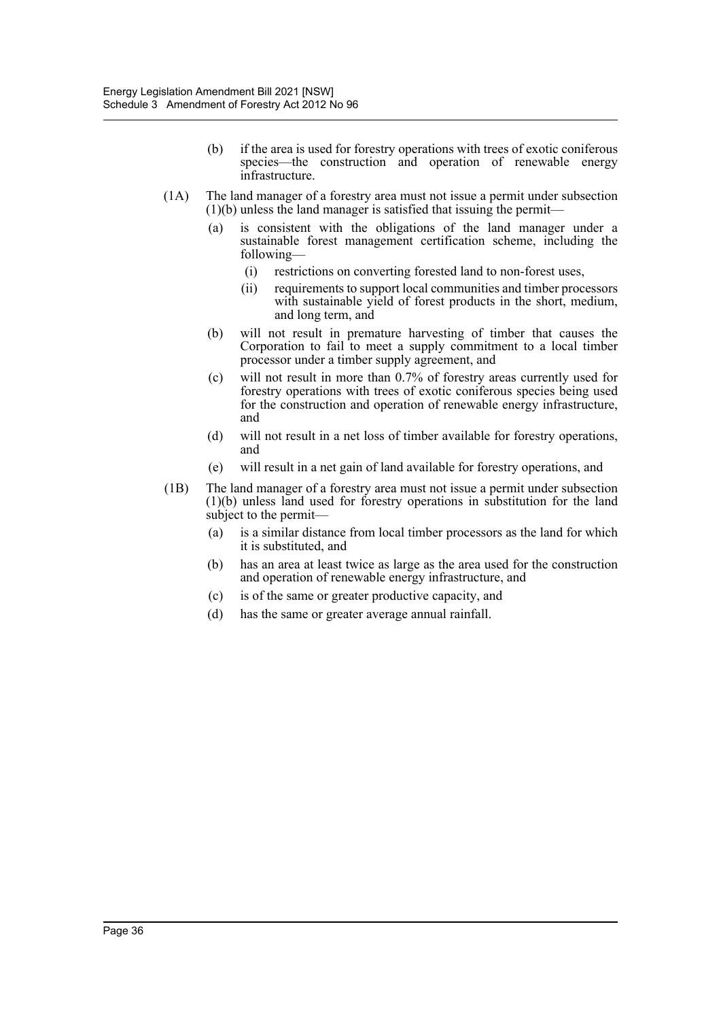- (b) if the area is used for forestry operations with trees of exotic coniferous species—the construction and operation of renewable energy infrastructure.
- (1A) The land manager of a forestry area must not issue a permit under subsection  $(1)(b)$  unless the land manager is satisfied that issuing the permit—
	- (a) is consistent with the obligations of the land manager under a sustainable forest management certification scheme, including the following—
		- (i) restrictions on converting forested land to non-forest uses,
		- (ii) requirements to support local communities and timber processors with sustainable yield of forest products in the short, medium, and long term, and
	- (b) will not result in premature harvesting of timber that causes the Corporation to fail to meet a supply commitment to a local timber processor under a timber supply agreement, and
	- (c) will not result in more than 0.7% of forestry areas currently used for forestry operations with trees of exotic coniferous species being used for the construction and operation of renewable energy infrastructure, and
	- (d) will not result in a net loss of timber available for forestry operations, and
	- (e) will result in a net gain of land available for forestry operations, and
- (1B) The land manager of a forestry area must not issue a permit under subsection (1)(b) unless land used for forestry operations in substitution for the land subject to the permit—
	- (a) is a similar distance from local timber processors as the land for which it is substituted, and
	- (b) has an area at least twice as large as the area used for the construction and operation of renewable energy infrastructure, and
	- (c) is of the same or greater productive capacity, and
	- (d) has the same or greater average annual rainfall.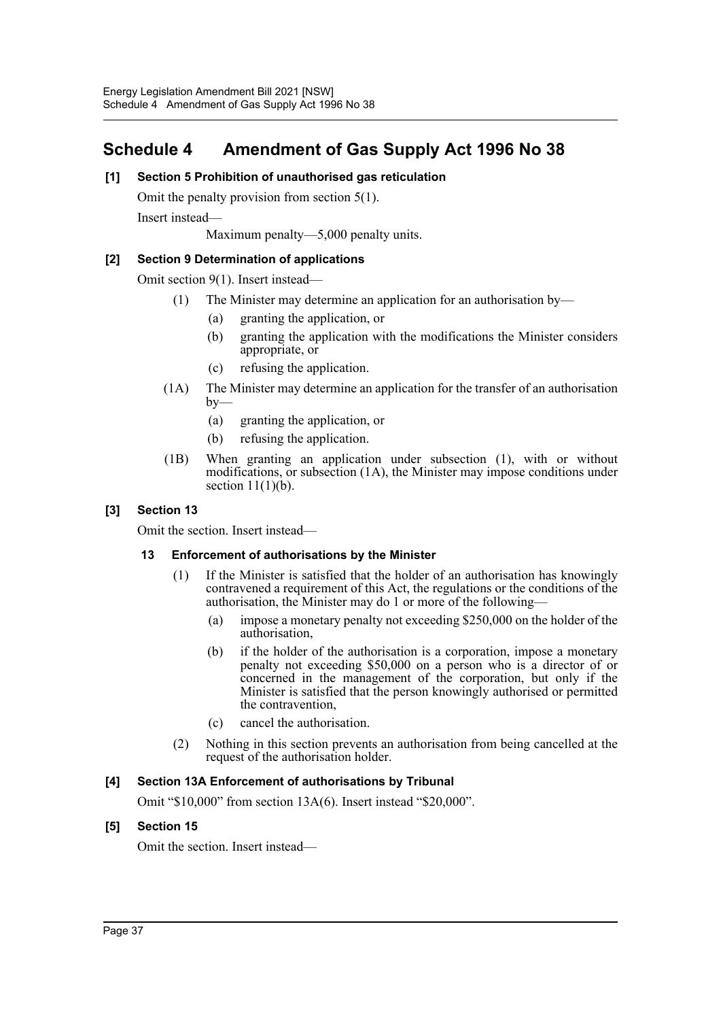# <span id="page-37-0"></span>**Schedule 4 Amendment of Gas Supply Act 1996 No 38**

#### **[1] Section 5 Prohibition of unauthorised gas reticulation**

Omit the penalty provision from section 5(1).

Insert instead—

Maximum penalty—5,000 penalty units.

#### **[2] Section 9 Determination of applications**

Omit section 9(1). Insert instead—

- (1) The Minister may determine an application for an authorisation by—
	- (a) granting the application, or
	- (b) granting the application with the modifications the Minister considers appropriate, or
	- (c) refusing the application.
- (1A) The Minister may determine an application for the transfer of an authorisation  $by-$ 
	- (a) granting the application, or
	- (b) refusing the application.
- (1B) When granting an application under subsection (1), with or without modifications, or subsection (1A), the Minister may impose conditions under section  $11(1)(b)$ .

#### **[3] Section 13**

Omit the section. Insert instead—

#### **13 Enforcement of authorisations by the Minister**

- (1) If the Minister is satisfied that the holder of an authorisation has knowingly contravened a requirement of this Act, the regulations or the conditions of the authorisation, the Minister may do 1 or more of the following—
	- (a) impose a monetary penalty not exceeding \$250,000 on the holder of the authorisation,
	- (b) if the holder of the authorisation is a corporation, impose a monetary penalty not exceeding \$50,000 on a person who is a director of or concerned in the management of the corporation, but only if the Minister is satisfied that the person knowingly authorised or permitted the contravention,
	- (c) cancel the authorisation.
- (2) Nothing in this section prevents an authorisation from being cancelled at the request of the authorisation holder.

#### **[4] Section 13A Enforcement of authorisations by Tribunal**

Omit "\$10,000" from section 13A(6). Insert instead "\$20,000".

#### **[5] Section 15**

Omit the section. Insert instead—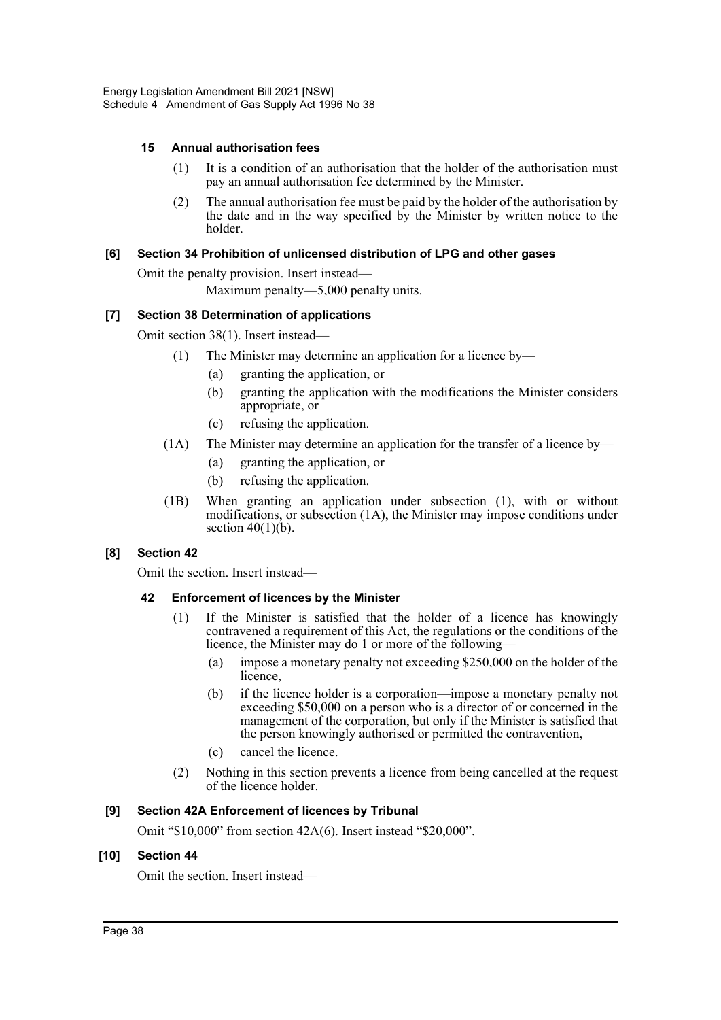#### **15 Annual authorisation fees**

- (1) It is a condition of an authorisation that the holder of the authorisation must pay an annual authorisation fee determined by the Minister.
- (2) The annual authorisation fee must be paid by the holder of the authorisation by the date and in the way specified by the Minister by written notice to the holder.

#### **[6] Section 34 Prohibition of unlicensed distribution of LPG and other gases**

Omit the penalty provision. Insert instead—

Maximum penalty—5,000 penalty units.

#### **[7] Section 38 Determination of applications**

Omit section 38(1). Insert instead—

- (1) The Minister may determine an application for a licence by—
	- (a) granting the application, or
	- (b) granting the application with the modifications the Minister considers appropriate, or
	- (c) refusing the application.
- (1A) The Minister may determine an application for the transfer of a licence by—
	- (a) granting the application, or
	- (b) refusing the application.
- (1B) When granting an application under subsection (1), with or without modifications, or subsection (1A), the Minister may impose conditions under section  $40(1)(b)$ .

#### **[8] Section 42**

Omit the section. Insert instead—

#### **42 Enforcement of licences by the Minister**

- (1) If the Minister is satisfied that the holder of a licence has knowingly contravened a requirement of this Act, the regulations or the conditions of the licence, the Minister may do 1 or more of the following—
	- (a) impose a monetary penalty not exceeding \$250,000 on the holder of the licence,
	- (b) if the licence holder is a corporation—impose a monetary penalty not exceeding \$50,000 on a person who is a director of or concerned in the management of the corporation, but only if the Minister is satisfied that the person knowingly authorised or permitted the contravention,
	- (c) cancel the licence.
- (2) Nothing in this section prevents a licence from being cancelled at the request of the licence holder.

#### **[9] Section 42A Enforcement of licences by Tribunal**

Omit "\$10,000" from section 42A(6). Insert instead "\$20,000".

#### **[10] Section 44**

Omit the section. Insert instead—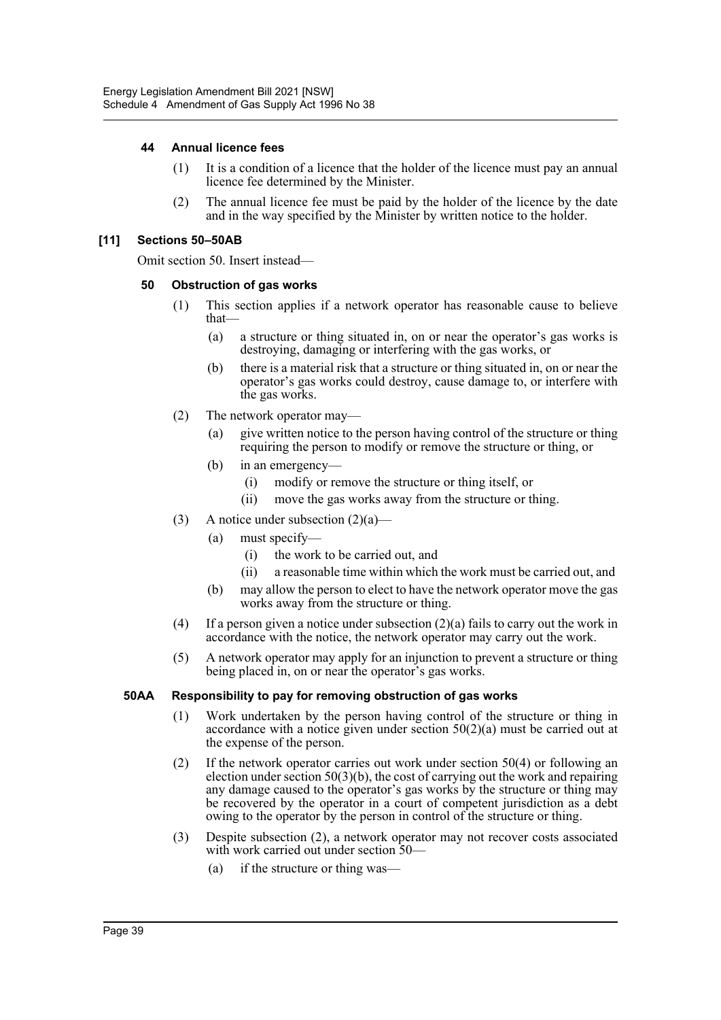#### **44 Annual licence fees**

- (1) It is a condition of a licence that the holder of the licence must pay an annual licence fee determined by the Minister.
- (2) The annual licence fee must be paid by the holder of the licence by the date and in the way specified by the Minister by written notice to the holder.

#### **[11] Sections 50–50AB**

Omit section 50. Insert instead—

#### **50 Obstruction of gas works**

- (1) This section applies if a network operator has reasonable cause to believe that—
	- (a) a structure or thing situated in, on or near the operator's gas works is destroying, damaging or interfering with the gas works, or
	- (b) there is a material risk that a structure or thing situated in, on or near the operator's gas works could destroy, cause damage to, or interfere with the gas works.
- (2) The network operator may—
	- (a) give written notice to the person having control of the structure or thing requiring the person to modify or remove the structure or thing, or
	- (b) in an emergency—
		- (i) modify or remove the structure or thing itself, or
		- (ii) move the gas works away from the structure or thing.
- (3) A notice under subsection  $(2)(a)$ 
	- (a) must specify—
		- (i) the work to be carried out, and
		- (ii) a reasonable time within which the work must be carried out, and
	- (b) may allow the person to elect to have the network operator move the gas works away from the structure or thing.
- (4) If a person given a notice under subsection (2)(a) fails to carry out the work in accordance with the notice, the network operator may carry out the work.
- (5) A network operator may apply for an injunction to prevent a structure or thing being placed in, on or near the operator's gas works.

#### **50AA Responsibility to pay for removing obstruction of gas works**

- (1) Work undertaken by the person having control of the structure or thing in accordance with a notice given under section  $50(2)(a)$  must be carried out at the expense of the person.
- (2) If the network operator carries out work under section 50(4) or following an election under section  $50(3)(b)$ , the cost of carrying out the work and repairing any damage caused to the operator's gas works by the structure or thing may be recovered by the operator in a court of competent jurisdiction as a debt owing to the operator by the person in control of the structure or thing.
- (3) Despite subsection (2), a network operator may not recover costs associated with work carried out under section 50—
	- (a) if the structure or thing was-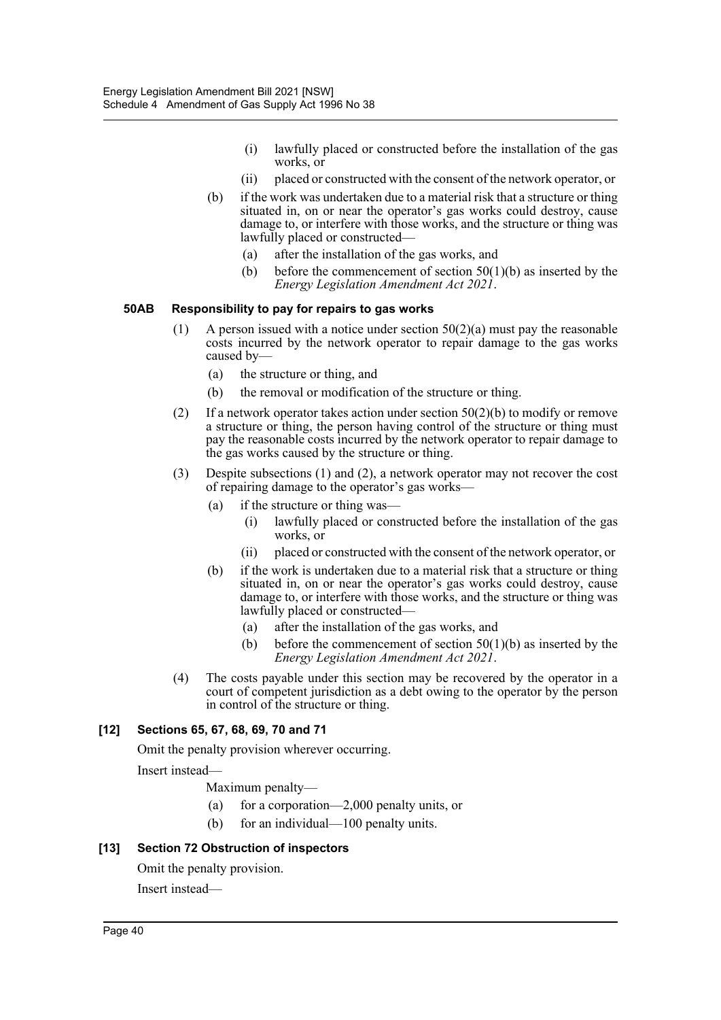- (i) lawfully placed or constructed before the installation of the gas works, or
- (ii) placed or constructed with the consent of the network operator, or
- (b) if the work was undertaken due to a material risk that a structure or thing situated in, on or near the operator's gas works could destroy, cause damage to, or interfere with those works, and the structure or thing was lawfully placed or constructed—
	- (a) after the installation of the gas works, and
	- (b) before the commencement of section  $50(1)(b)$  as inserted by the *Energy Legislation Amendment Act 2021*.

#### **50AB Responsibility to pay for repairs to gas works**

- (1) A person issued with a notice under section  $50(2)(a)$  must pay the reasonable costs incurred by the network operator to repair damage to the gas works caused by—
	- (a) the structure or thing, and
	- (b) the removal or modification of the structure or thing.
- (2) If a network operator takes action under section  $50(2)(b)$  to modify or remove a structure or thing, the person having control of the structure or thing must pay the reasonable costs incurred by the network operator to repair damage to the gas works caused by the structure or thing.
- (3) Despite subsections (1) and (2), a network operator may not recover the cost of repairing damage to the operator's gas works—
	- (a) if the structure or thing was—
		- (i) lawfully placed or constructed before the installation of the gas works, or
		- (ii) placed or constructed with the consent of the network operator, or
	- (b) if the work is undertaken due to a material risk that a structure or thing situated in, on or near the operator's gas works could destroy, cause damage to, or interfere with those works, and the structure or thing was lawfully placed or constructed—
		- (a) after the installation of the gas works, and
		- (b) before the commencement of section  $50(1)(b)$  as inserted by the *Energy Legislation Amendment Act 2021*.
- (4) The costs payable under this section may be recovered by the operator in a court of competent jurisdiction as a debt owing to the operator by the person in control of the structure or thing.

#### **[12] Sections 65, 67, 68, 69, 70 and 71**

Omit the penalty provision wherever occurring.

Insert instead—

Maximum penalty—

- (a) for a corporation—2,000 penalty units, or
- (b) for an individual—100 penalty units.

#### **[13] Section 72 Obstruction of inspectors**

Omit the penalty provision.

Insert instead—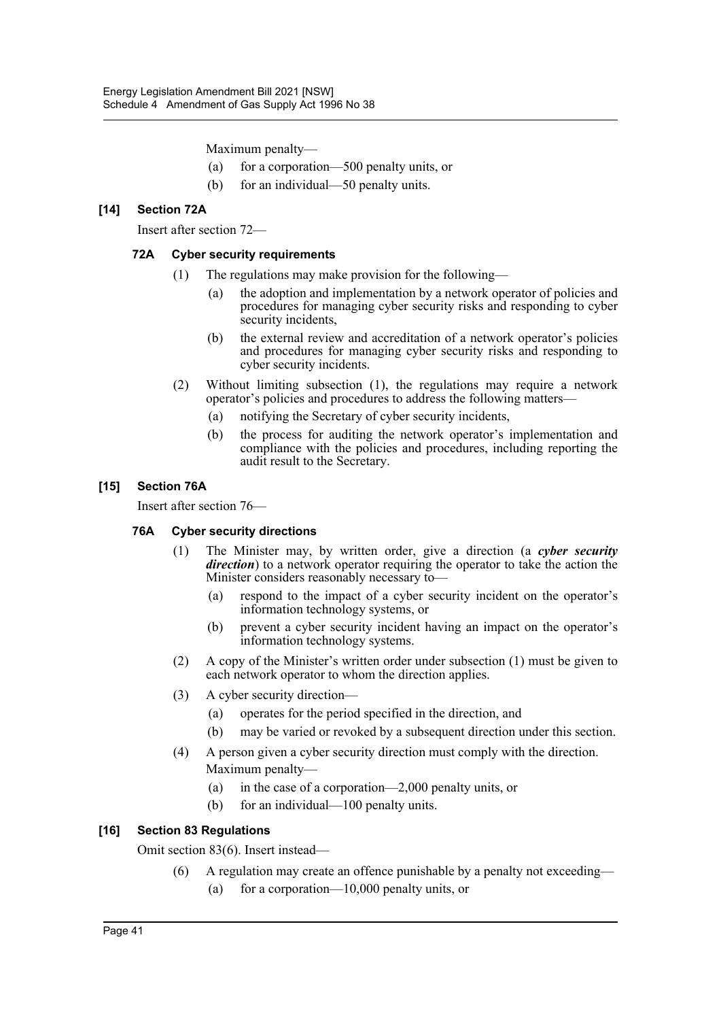Maximum penalty—

- (a) for a corporation—500 penalty units, or
- (b) for an individual—50 penalty units.

#### **[14] Section 72A**

Insert after section 72—

#### **72A Cyber security requirements**

- (1) The regulations may make provision for the following—
	- (a) the adoption and implementation by a network operator of policies and procedures for managing cyber security risks and responding to cyber security incidents,
	- (b) the external review and accreditation of a network operator's policies and procedures for managing cyber security risks and responding to cyber security incidents.
- (2) Without limiting subsection (1), the regulations may require a network operator's policies and procedures to address the following matters—
	- (a) notifying the Secretary of cyber security incidents,
	- (b) the process for auditing the network operator's implementation and compliance with the policies and procedures, including reporting the audit result to the Secretary.

#### **[15] Section 76A**

Insert after section 76—

#### **76A Cyber security directions**

- (1) The Minister may, by written order, give a direction (a *cyber security direction*) to a network operator requiring the operator to take the action the Minister considers reasonably necessary to—
	- (a) respond to the impact of a cyber security incident on the operator's information technology systems, or
	- (b) prevent a cyber security incident having an impact on the operator's information technology systems.
- (2) A copy of the Minister's written order under subsection (1) must be given to each network operator to whom the direction applies.
- (3) A cyber security direction—
	- (a) operates for the period specified in the direction, and
	- (b) may be varied or revoked by a subsequent direction under this section.
- (4) A person given a cyber security direction must comply with the direction. Maximum penalty—
	- (a) in the case of a corporation—2,000 penalty units, or
	- (b) for an individual—100 penalty units.

#### **[16] Section 83 Regulations**

Omit section 83(6). Insert instead—

(6) A regulation may create an offence punishable by a penalty not exceeding— (a) for a corporation—10,000 penalty units, or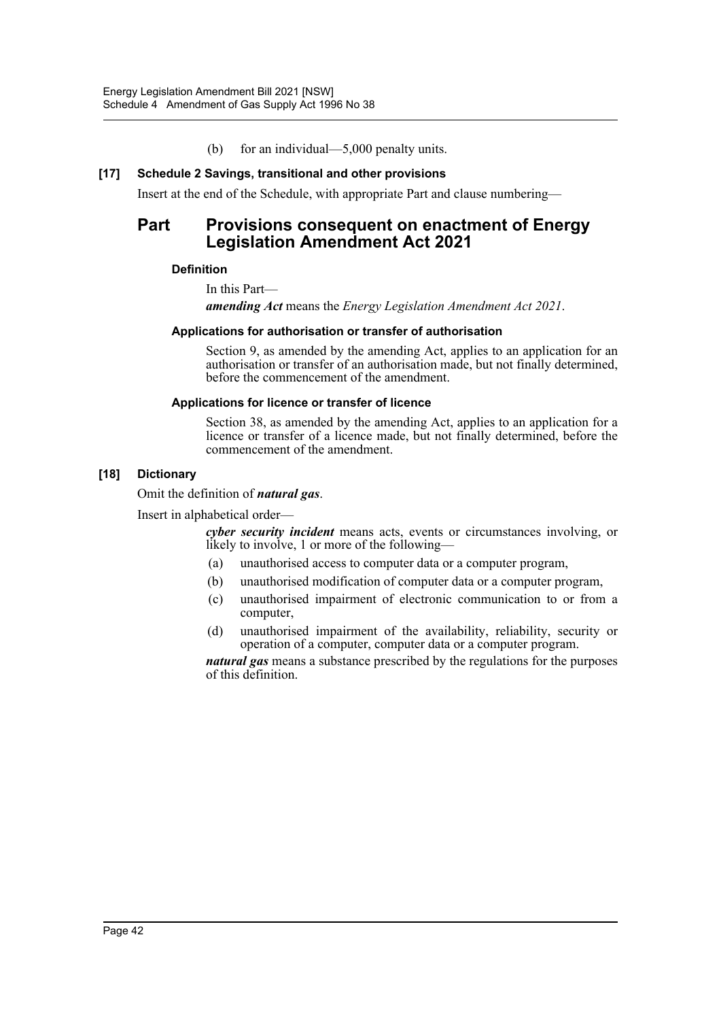(b) for an individual—5,000 penalty units.

#### **[17] Schedule 2 Savings, transitional and other provisions**

Insert at the end of the Schedule, with appropriate Part and clause numbering—

# **Part Provisions consequent on enactment of Energy Legislation Amendment Act 2021**

#### **Definition**

In this Part—

*amending Act* means the *Energy Legislation Amendment Act 2021*.

#### **Applications for authorisation or transfer of authorisation**

Section 9, as amended by the amending Act, applies to an application for an authorisation or transfer of an authorisation made, but not finally determined, before the commencement of the amendment.

#### **Applications for licence or transfer of licence**

Section 38, as amended by the amending Act, applies to an application for a licence or transfer of a licence made, but not finally determined, before the commencement of the amendment.

#### **[18] Dictionary**

Omit the definition of *natural gas*.

Insert in alphabetical order—

*cyber security incident* means acts, events or circumstances involving, or likely to involve, 1 or more of the following—

- (a) unauthorised access to computer data or a computer program,
- (b) unauthorised modification of computer data or a computer program,
- (c) unauthorised impairment of electronic communication to or from a computer,
- (d) unauthorised impairment of the availability, reliability, security or operation of a computer, computer data or a computer program.

*natural gas* means a substance prescribed by the regulations for the purposes of this definition.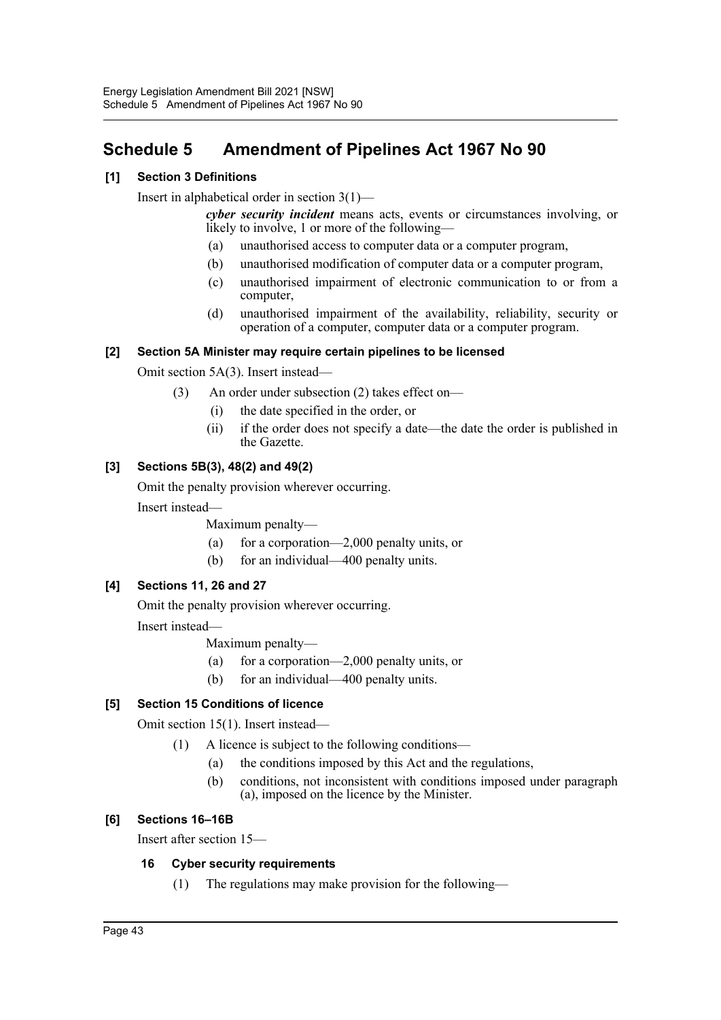# <span id="page-43-0"></span>**Schedule 5 Amendment of Pipelines Act 1967 No 90**

## **[1] Section 3 Definitions**

Insert in alphabetical order in section 3(1)—

*cyber security incident* means acts, events or circumstances involving, or likely to involve, 1 or more of the following—

- (a) unauthorised access to computer data or a computer program,
- (b) unauthorised modification of computer data or a computer program,
- (c) unauthorised impairment of electronic communication to or from a computer,
- (d) unauthorised impairment of the availability, reliability, security or operation of a computer, computer data or a computer program.

#### **[2] Section 5A Minister may require certain pipelines to be licensed**

Omit section 5A(3). Insert instead—

- (3) An order under subsection (2) takes effect on—
	- (i) the date specified in the order, or
	- (ii) if the order does not specify a date—the date the order is published in the Gazette.

## **[3] Sections 5B(3), 48(2) and 49(2)**

Omit the penalty provision wherever occurring.

Insert instead—

Maximum penalty—

- (a) for a corporation—2,000 penalty units, or
- (b) for an individual—400 penalty units.

#### **[4] Sections 11, 26 and 27**

Omit the penalty provision wherever occurring.

Insert instead—

Maximum penalty—

- (a) for a corporation—2,000 penalty units, or
- (b) for an individual—400 penalty units.

#### **[5] Section 15 Conditions of licence**

Omit section 15(1). Insert instead—

- (1) A licence is subject to the following conditions—
	- (a) the conditions imposed by this Act and the regulations,
	- (b) conditions, not inconsistent with conditions imposed under paragraph (a), imposed on the licence by the Minister.

#### **[6] Sections 16–16B**

Insert after section 15—

#### **16 Cyber security requirements**

(1) The regulations may make provision for the following—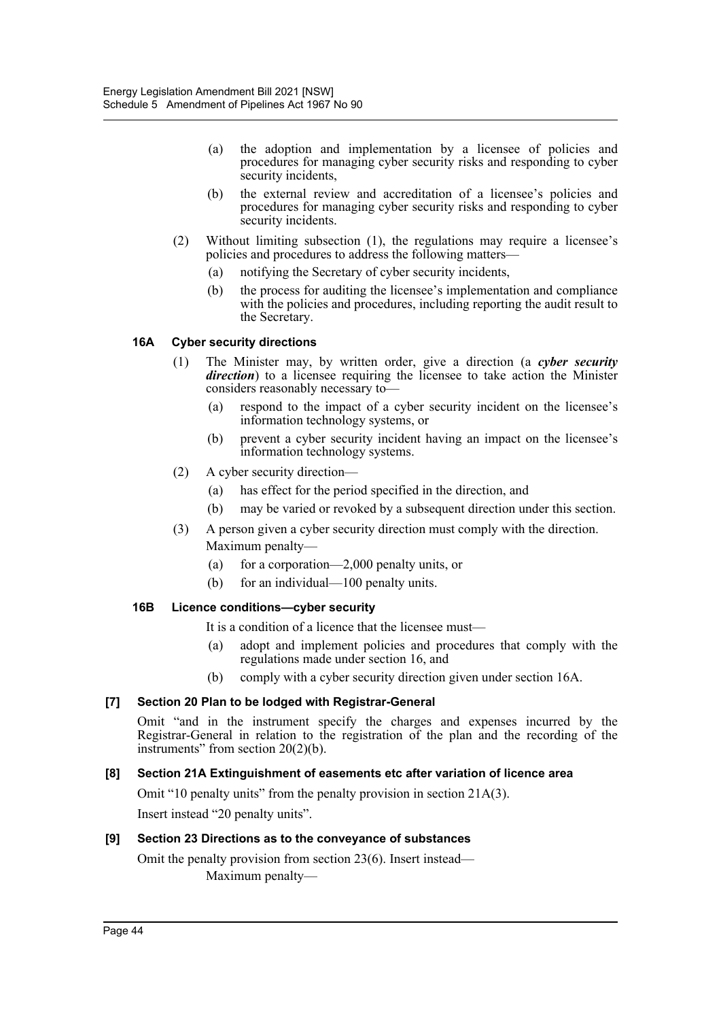- (a) the adoption and implementation by a licensee of policies and procedures for managing cyber security risks and responding to cyber security incidents,
- (b) the external review and accreditation of a licensee's policies and procedures for managing cyber security risks and responding to cyber security incidents.
- (2) Without limiting subsection (1), the regulations may require a licensee's policies and procedures to address the following matters—
	- (a) notifying the Secretary of cyber security incidents,
	- (b) the process for auditing the licensee's implementation and compliance with the policies and procedures, including reporting the audit result to the Secretary.

#### **16A Cyber security directions**

- (1) The Minister may, by written order, give a direction (a *cyber security direction*) to a licensee requiring the licensee to take action the Minister considers reasonably necessary to—
	- (a) respond to the impact of a cyber security incident on the licensee's information technology systems, or
	- (b) prevent a cyber security incident having an impact on the licensee's information technology systems.
- (2) A cyber security direction—
	- (a) has effect for the period specified in the direction, and
	- (b) may be varied or revoked by a subsequent direction under this section.
- (3) A person given a cyber security direction must comply with the direction. Maximum penalty—
	- (a) for a corporation—2,000 penalty units, or
	- (b) for an individual—100 penalty units.

#### **16B Licence conditions—cyber security**

It is a condition of a licence that the licensee must—

- (a) adopt and implement policies and procedures that comply with the regulations made under section 16, and
- (b) comply with a cyber security direction given under section 16A.

#### **[7] Section 20 Plan to be lodged with Registrar-General**

Omit "and in the instrument specify the charges and expenses incurred by the Registrar-General in relation to the registration of the plan and the recording of the instruments" from section 20(2)(b).

### **[8] Section 21A Extinguishment of easements etc after variation of licence area**

Omit "10 penalty units" from the penalty provision in section 21A(3).

Insert instead "20 penalty units".

#### **[9] Section 23 Directions as to the conveyance of substances**

Omit the penalty provision from section 23(6). Insert instead— Maximum penalty—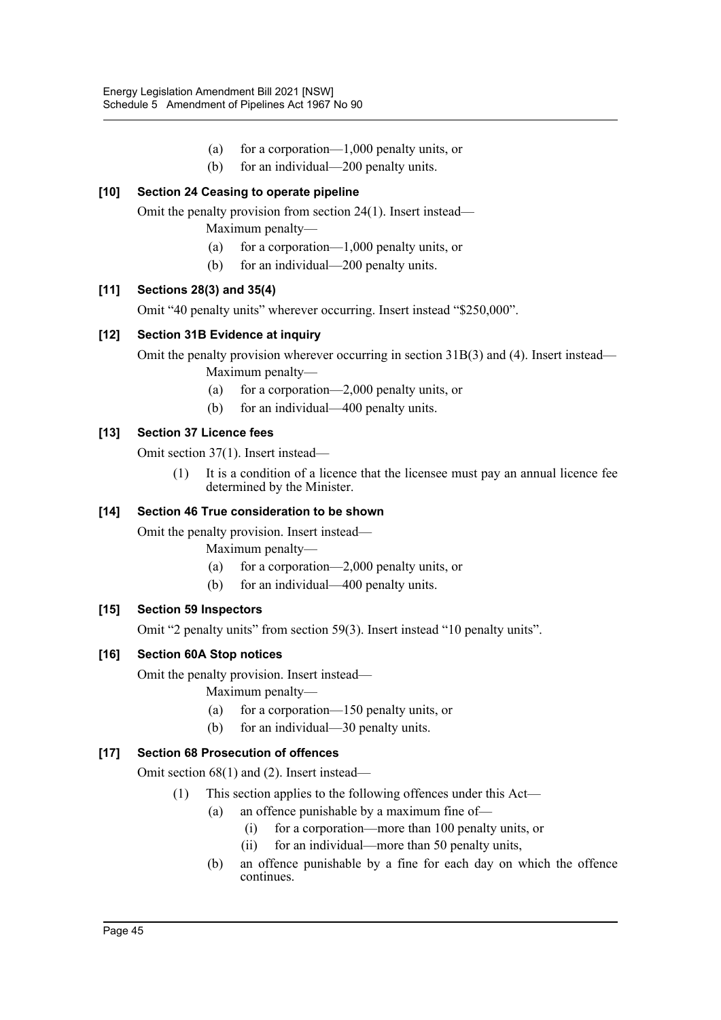- (a) for a corporation—1,000 penalty units, or
- (b) for an individual—200 penalty units.

# **[10] Section 24 Ceasing to operate pipeline**

Omit the penalty provision from section 24(1). Insert instead—

- Maximum penalty—
- (a) for a corporation—1,000 penalty units, or
- (b) for an individual—200 penalty units.

## **[11] Sections 28(3) and 35(4)**

Omit "40 penalty units" wherever occurring. Insert instead "\$250,000".

## **[12] Section 31B Evidence at inquiry**

Omit the penalty provision wherever occurring in section 31B(3) and (4). Insert instead—

Maximum penalty—

- (a) for a corporation—2,000 penalty units, or
- (b) for an individual—400 penalty units.

## **[13] Section 37 Licence fees**

Omit section 37(1). Insert instead—

(1) It is a condition of a licence that the licensee must pay an annual licence fee determined by the Minister.

## **[14] Section 46 True consideration to be shown**

Omit the penalty provision. Insert instead—

Maximum penalty—

- (a) for a corporation—2,000 penalty units, or
- (b) for an individual—400 penalty units.

#### **[15] Section 59 Inspectors**

Omit "2 penalty units" from section 59(3). Insert instead "10 penalty units".

#### **[16] Section 60A Stop notices**

Omit the penalty provision. Insert instead—

Maximum penalty—

- (a) for a corporation—150 penalty units, or
- (b) for an individual—30 penalty units.

# **[17] Section 68 Prosecution of offences**

Omit section 68(1) and (2). Insert instead—

- (1) This section applies to the following offences under this Act—
	- (a) an offence punishable by a maximum fine of—
		- (i) for a corporation—more than 100 penalty units, or
		- (ii) for an individual—more than 50 penalty units,
	- (b) an offence punishable by a fine for each day on which the offence continues.